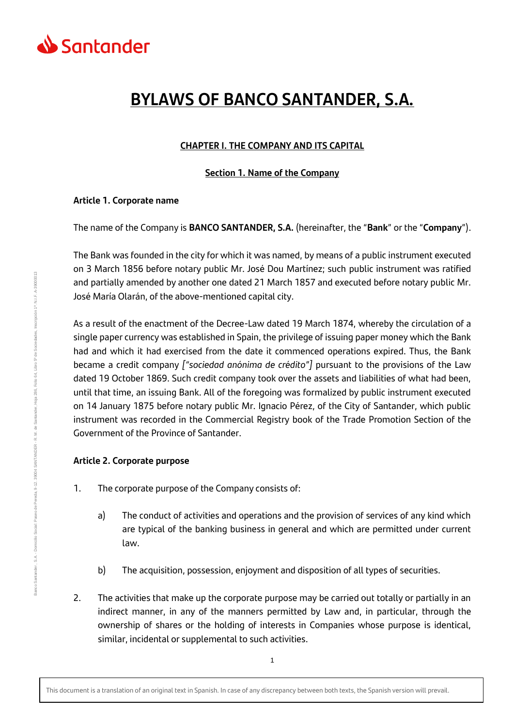

# **BYLAWS OF BANCO SANTANDER, S.A.**

## **CHAPTER I. THE COMPANY AND ITS CAPITAL**

## **Section 1. Name of the Company**

#### **Article 1. Corporate name**

The name of the Company is **BANCO SANTANDER, S.A.** (hereinafter, the "**Bank**" or the "**Company**").

The Bank was founded in the city for which it was named, by means of a public instrument executed on 3 March 1856 before notary public Mr. José Dou Martínez; such public instrument was ratified and partially amended by another one dated 21 March 1857 and executed before notary public Mr. José María Olarán, of the above-mentioned capital city.

As a result of the enactment of the Decree-Law dated 19 March 1874, whereby the circulation of a single paper currency was established in Spain, the privilege of issuing paper money which the Bank had and which it had exercised from the date it commenced operations expired. Thus, the Bank became a credit company *["sociedad anónima de crédito"]* pursuant to the provisions of the Law dated 19 October 1869. Such credit company took over the assets and liabilities of what had been, until that time, an issuing Bank. All of the foregoing was formalized by public instrument executed on 14 January 1875 before notary public Mr. Ignacio Pérez, of the City of Santander, which public instrument was recorded in the Commercial Registry book of the Trade Promotion Section of the Government of the Province of Santander.

## **Article 2. Corporate purpose**

- 1. The corporate purpose of the Company consists of:
	- a) The conduct of activities and operations and the provision of services of any kind which are typical of the banking business in general and which are permitted under current law.
	- b) The acquisition, possession, enjoyment and disposition of all types of securities.
- 2. The activities that make up the corporate purpose may be carried out totally or partially in an indirect manner, in any of the manners permitted by Law and, in particular, through the ownership of shares or the holding of interests in Companies whose purpose is identical, similar, incidental or supplemental to such activities.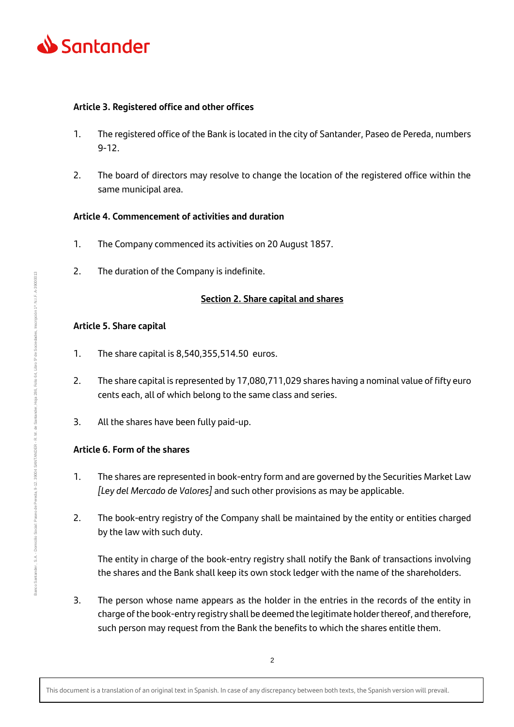

## **Article 3. Registered office and other offices**

- 1. The registered office of the Bank is located in the city of Santander, Paseo de Pereda, numbers 9-12.
- 2. The board of directors may resolve to change the location of the registered office within the same municipal area.

## **Article 4. Commencement of activities and duration**

- 1. The Company commenced its activities on 20 August 1857.
- 2. The duration of the Company is indefinite.

## **Section 2. Share capital and shares**

## **Article 5. Share capital**

- 1. The share capital is 8,540,355,514.50 euros.
- 2. The share capital is represented by 17,080,711,029 shares having a nominal value of fifty euro cents each, all of which belong to the same class and series.
- 3. All the shares have been fully paid-up.

## **Article 6. Form of the shares**

- 1. The shares are represented in book-entry form and are governed by the Securities Market Law *[Ley del Mercado de Valores]* and such other provisions as may be applicable.
- 2. The book-entry registry of the Company shall be maintained by the entity or entities charged by the law with such duty.

The entity in charge of the book-entry registry shall notify the Bank of transactions involving the shares and the Bank shall keep its own stock ledger with the name of the shareholders.

3. The person whose name appears as the holder in the entries in the records of the entity in charge of the book-entry registry shall be deemed the legitimate holder thereof, and therefore, such person may request from the Bank the benefits to which the shares entitle them.

This document is a translation of an original text in Spanish. In case of any discrepancy between both texts, the Spanish version will prevail.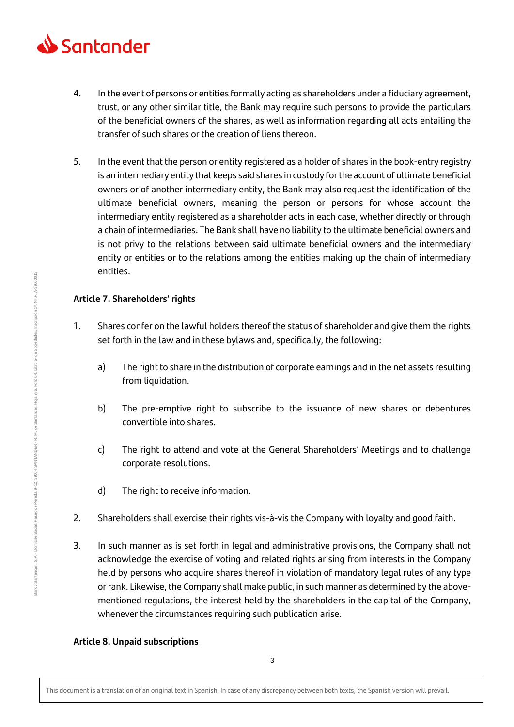

- 4. In the event of persons or entities formally acting as shareholders under a fiduciary agreement, trust, or any other similar title, the Bank may require such persons to provide the particulars of the beneficial owners of the shares, as well as information regarding all acts entailing the transfer of such shares or the creation of liens thereon.
- 5. In the event that the person or entity registered as a holder of shares in the book-entry registry is an intermediary entity that keeps said shares in custody for the account of ultimate beneficial owners or of another intermediary entity, the Bank may also request the identification of the ultimate beneficial owners, meaning the person or persons for whose account the intermediary entity registered as a shareholder acts in each case, whether directly or through a chain of intermediaries. The Bank shall have no liability to the ultimate beneficial owners and is not privy to the relations between said ultimate beneficial owners and the intermediary entity or entities or to the relations among the entities making up the chain of intermediary entities.

## **Article 7. Shareholders' rights**

- 1. Shares confer on the lawful holders thereof the status of shareholder and give them the rights set forth in the law and in these bylaws and, specifically, the following:
	- a) The right to share in the distribution of corporate earnings and in the net assets resulting from liquidation.
	- b) The pre-emptive right to subscribe to the issuance of new shares or debentures convertible into shares.
	- c) The right to attend and vote at the General Shareholders' Meetings and to challenge corporate resolutions.
	- d) The right to receive information.
- 2. Shareholders shall exercise their rights vis-à-vis the Company with loyalty and good faith.
- 3. In such manner as is set forth in legal and administrative provisions, the Company shall not acknowledge the exercise of voting and related rights arising from interests in the Company held by persons who acquire shares thereof in violation of mandatory legal rules of any type or rank. Likewise, the Company shall make public, in such manner as determined by the abovementioned regulations, the interest held by the shareholders in the capital of the Company, whenever the circumstances requiring such publication arise.

## **Article 8. Unpaid subscriptions**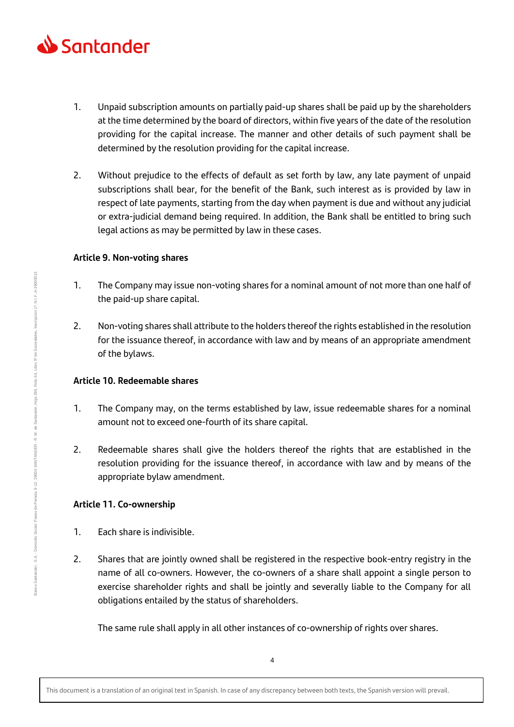

- 1. Unpaid subscription amounts on partially paid-up shares shall be paid up by the shareholders at the time determined by the board of directors, within five years of the date of the resolution providing for the capital increase. The manner and other details of such payment shall be determined by the resolution providing for the capital increase.
- 2. Without prejudice to the effects of default as set forth by law, any late payment of unpaid subscriptions shall bear, for the benefit of the Bank, such interest as is provided by law in respect of late payments, starting from the day when payment is due and without any judicial or extra-judicial demand being required. In addition, the Bank shall be entitled to bring such legal actions as may be permitted by law in these cases.

## **Article 9. Non-voting shares**

- 1. The Company may issue non-voting shares for a nominal amount of not more than one half of the paid-up share capital.
- 2. Non-voting shares shall attribute to the holders thereof the rights established in the resolution for the issuance thereof, in accordance with law and by means of an appropriate amendment of the bylaws.

## **Article 10. Redeemable shares**

- 1. The Company may, on the terms established by law, issue redeemable shares for a nominal amount not to exceed one-fourth of its share capital.
- 2. Redeemable shares shall give the holders thereof the rights that are established in the resolution providing for the issuance thereof, in accordance with law and by means of the appropriate bylaw amendment.

# **Article 11. Co-ownership**

- 1. Each share is indivisible.
- 2. Shares that are jointly owned shall be registered in the respective book-entry registry in the name of all co-owners. However, the co-owners of a share shall appoint a single person to exercise shareholder rights and shall be jointly and severally liable to the Company for all obligations entailed by the status of shareholders.

The same rule shall apply in all other instances of co-ownership of rights over shares.

This document is a translation of an original text in Spanish. In case of any discrepancy between both texts, the Spanish version will prevail.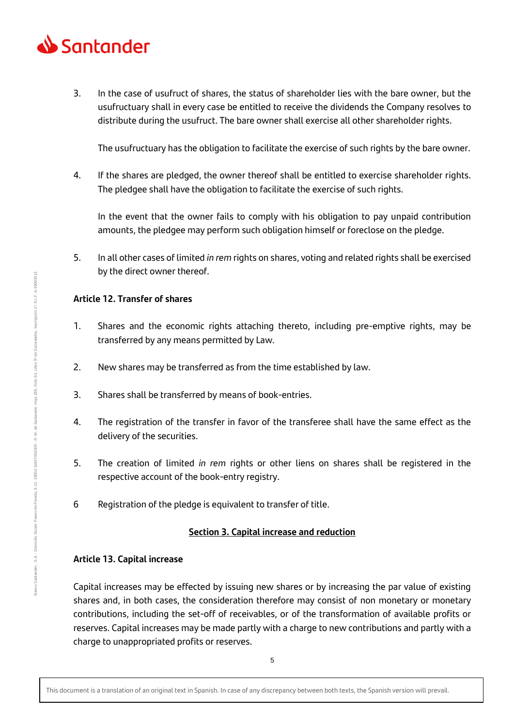

3. In the case of usufruct of shares, the status of shareholder lies with the bare owner, but the usufructuary shall in every case be entitled to receive the dividends the Company resolves to distribute during the usufruct. The bare owner shall exercise all other shareholder rights.

The usufructuary has the obligation to facilitate the exercise of such rights by the bare owner.

4. If the shares are pledged, the owner thereof shall be entitled to exercise shareholder rights. The pledgee shall have the obligation to facilitate the exercise of such rights.

In the event that the owner fails to comply with his obligation to pay unpaid contribution amounts, the pledgee may perform such obligation himself or foreclose on the pledge.

5. In all other cases of limited *in rem* rights on shares, voting and related rights shall be exercised by the direct owner thereof.

## **Article 12. Transfer of shares**

- 1. Shares and the economic rights attaching thereto, including pre-emptive rights, may be transferred by any means permitted by Law.
- 2. New shares may be transferred as from the time established by law.
- 3. Shares shall be transferred by means of book-entries.
- 4. The registration of the transfer in favor of the transferee shall have the same effect as the delivery of the securities.
- 5. The creation of limited *in rem* rights or other liens on shares shall be registered in the respective account of the book-entry registry.
- 6 Registration of the pledge is equivalent to transfer of title.

## **Section 3. Capital increase and reduction**

## **Article 13. Capital increase**

Capital increases may be effected by issuing new shares or by increasing the par value of existing shares and, in both cases, the consideration therefore may consist of non monetary or monetary contributions, including the set-off of receivables, or of the transformation of available profits or reserves. Capital increases may be made partly with a charge to new contributions and partly with a charge to unappropriated profits or reserves.

This document is a translation of an original text in Spanish. In case of any discrepancy between both texts, the Spanish version will prevail.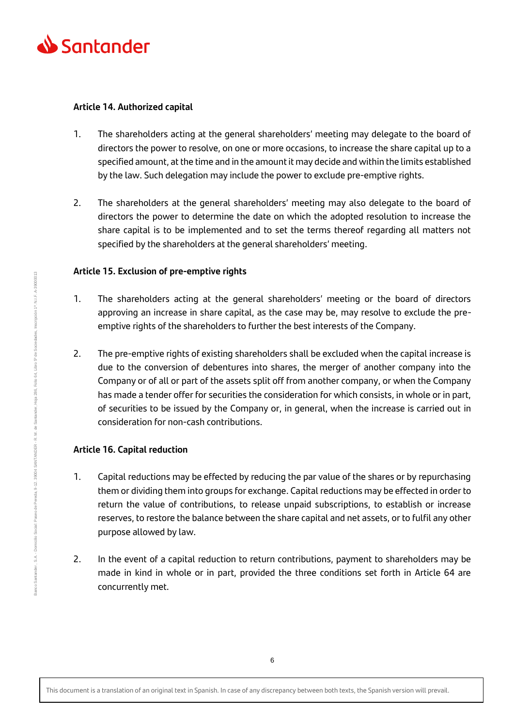

## **Article 14. Authorized capital**

- 1. The shareholders acting at the general shareholders' meeting may delegate to the board of directors the power to resolve, on one or more occasions, to increase the share capital up to a specified amount, at the time and in the amount it may decide and within the limits established by the law. Such delegation may include the power to exclude pre-emptive rights.
- 2. The shareholders at the general shareholders' meeting may also delegate to the board of directors the power to determine the date on which the adopted resolution to increase the share capital is to be implemented and to set the terms thereof regarding all matters not specified by the shareholders at the general shareholders' meeting.

## **Article 15. Exclusion of pre-emptive rights**

- 1. The shareholders acting at the general shareholders' meeting or the board of directors approving an increase in share capital, as the case may be, may resolve to exclude the preemptive rights of the shareholders to further the best interests of the Company.
- 2. The pre-emptive rights of existing shareholders shall be excluded when the capital increase is due to the conversion of debentures into shares, the merger of another company into the Company or of all or part of the assets split off from another company, or when the Company has made a tender offer for securities the consideration for which consists, in whole or in part, of securities to be issued by the Company or, in general, when the increase is carried out in consideration for non-cash contributions.

# **Article 16. Capital reduction**

- 1. Capital reductions may be effected by reducing the par value of the shares or by repurchasing them or dividing them into groups for exchange. Capital reductions may be effected in order to return the value of contributions, to release unpaid subscriptions, to establish or increase reserves, to restore the balance between the share capital and net assets, or to fulfil any other purpose allowed by law.
- 2. In the event of a capital reduction to return contributions, payment to shareholders may be made in kind in whole or in part, provided the three conditions set forth in Article 64 are concurrently met.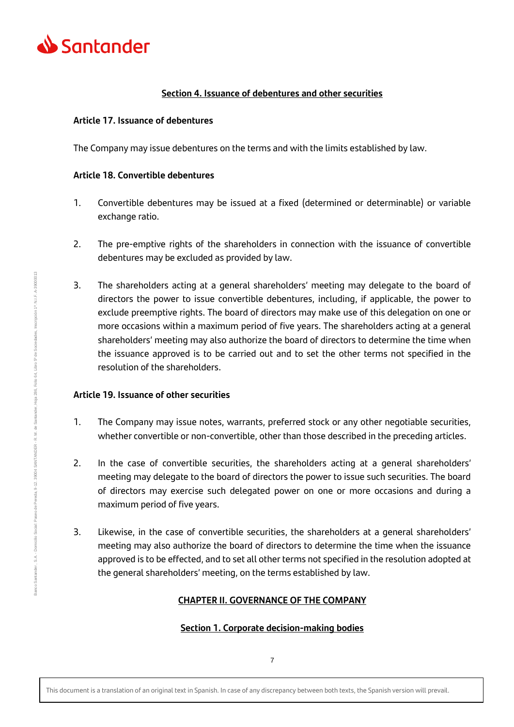

## **Section 4. Issuance of debentures and other securities**

## **Article 17. Issuance of debentures**

The Company may issue debentures on the terms and with the limits established by law.

## **Article 18. Convertible debentures**

- 1. Convertible debentures may be issued at a fixed (determined or determinable) or variable exchange ratio.
- 2. The pre-emptive rights of the shareholders in connection with the issuance of convertible debentures may be excluded as provided by law.
- 3. The shareholders acting at a general shareholders' meeting may delegate to the board of directors the power to issue convertible debentures, including, if applicable, the power to exclude preemptive rights. The board of directors may make use of this delegation on one or more occasions within a maximum period of five years. The shareholders acting at a general shareholders' meeting may also authorize the board of directors to determine the time when the issuance approved is to be carried out and to set the other terms not specified in the resolution of the shareholders.

#### **Article 19. Issuance of other securities**

- 1. The Company may issue notes, warrants, preferred stock or any other negotiable securities, whether convertible or non-convertible, other than those described in the preceding articles.
- 2. In the case of convertible securities, the shareholders acting at a general shareholders' meeting may delegate to the board of directors the power to issue such securities. The board of directors may exercise such delegated power on one or more occasions and during a maximum period of five years.
- 3. Likewise, in the case of convertible securities, the shareholders at a general shareholders' meeting may also authorize the board of directors to determine the time when the issuance approved is to be effected, and to set all other terms not specified in the resolution adopted at the general shareholders' meeting, on the terms established by law.

## **CHAPTER II. GOVERNANCE OF THE COMPANY**

## **Section 1. Corporate decision-making bodies**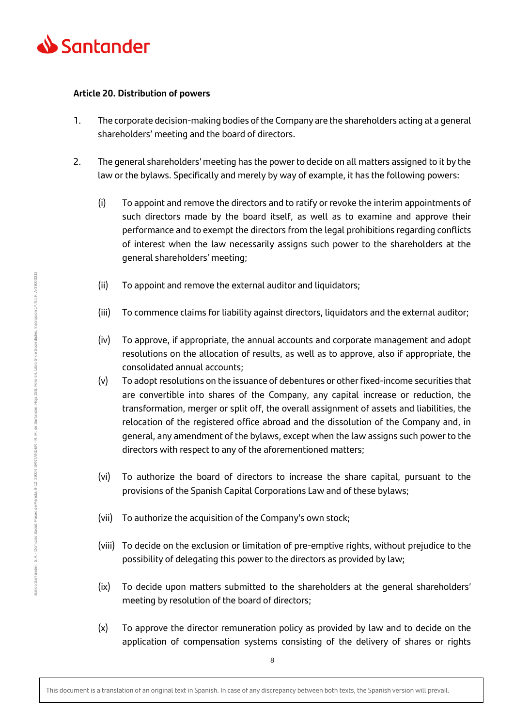

#### **Article 20. Distribution of powers**

- 1. The corporate decision-making bodies of the Company are the shareholders acting at a general shareholders' meeting and the board of directors.
- 2. The general shareholders' meeting has the power to decide on all matters assigned to it by the law or the bylaws. Specifically and merely by way of example, it has the following powers:
	- (i) To appoint and remove the directors and to ratify or revoke the interim appointments of such directors made by the board itself, as well as to examine and approve their performance and to exempt the directors from the legal prohibitions regarding conflicts of interest when the law necessarily assigns such power to the shareholders at the general shareholders' meeting;
	- (ii) To appoint and remove the external auditor and liquidators;
	- (iii) To commence claims for liability against directors, liquidators and the external auditor;
	- (iv) To approve, if appropriate, the annual accounts and corporate management and adopt resolutions on the allocation of results, as well as to approve, also if appropriate, the consolidated annual accounts;
	- (v) To adopt resolutions on the issuance of debentures or other fixed-income securities that are convertible into shares of the Company, any capital increase or reduction, the transformation, merger or split off, the overall assignment of assets and liabilities, the relocation of the registered office abroad and the dissolution of the Company and, in general, any amendment of the bylaws, except when the law assigns such power to the directors with respect to any of the aforementioned matters;
	- (vi) To authorize the board of directors to increase the share capital, pursuant to the provisions of the Spanish Capital Corporations Law and of these bylaws;
	- (vii) To authorize the acquisition of the Company's own stock;
	- (viii) To decide on the exclusion or limitation of pre-emptive rights, without prejudice to the possibility of delegating this power to the directors as provided by law;
	- (ix) To decide upon matters submitted to the shareholders at the general shareholders' meeting by resolution of the board of directors;
	- (x) To approve the director remuneration policy as provided by law and to decide on the application of compensation systems consisting of the delivery of shares or rights

This document is a translation of an original text in Spanish. In case of any discrepancy between both texts, the Spanish version will prevail.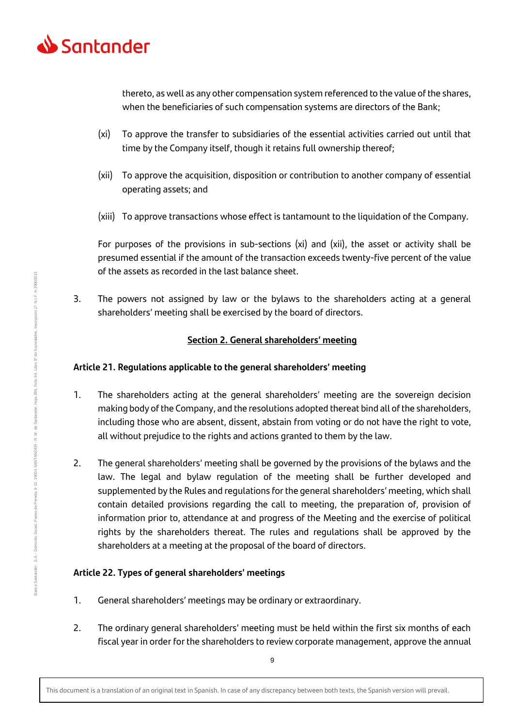

thereto, as well as any other compensation system referenced to the value of the shares, when the beneficiaries of such compensation systems are directors of the Bank;

- (xi) To approve the transfer to subsidiaries of the essential activities carried out until that time by the Company itself, though it retains full ownership thereof;
- (xii) To approve the acquisition, disposition or contribution to another company of essential operating assets; and
- (xiii) To approve transactions whose effect is tantamount to the liquidation of the Company.

For purposes of the provisions in sub-sections (xi) and (xii), the asset or activity shall be presumed essential if the amount of the transaction exceeds twenty-five percent of the value of the assets as recorded in the last balance sheet.

3. The powers not assigned by law or the bylaws to the shareholders acting at a general shareholders' meeting shall be exercised by the board of directors.

## **Section 2. General shareholders' meeting**

## **Article 21. Regulations applicable to the general shareholders' meeting**

- 1. The shareholders acting at the general shareholders' meeting are the sovereign decision making body of the Company, and the resolutions adopted thereat bind all of the shareholders, including those who are absent, dissent, abstain from voting or do not have the right to vote, all without prejudice to the rights and actions granted to them by the law.
- 2. The general shareholders' meeting shall be governed by the provisions of the bylaws and the law. The legal and bylaw regulation of the meeting shall be further developed and supplemented by the Rules and regulations for the general shareholders' meeting, which shall contain detailed provisions regarding the call to meeting, the preparation of, provision of information prior to, attendance at and progress of the Meeting and the exercise of political rights by the shareholders thereat. The rules and regulations shall be approved by the shareholders at a meeting at the proposal of the board of directors.

## **Article 22. Types of general shareholders' meetings**

- 1. General shareholders' meetings may be ordinary or extraordinary.
- 2. The ordinary general shareholders' meeting must be held within the first six months of each fiscal year in order for the shareholders to review corporate management, approve the annual

This document is a translation of an original text in Spanish. In case of any discrepancy between both texts, the Spanish version will prevail.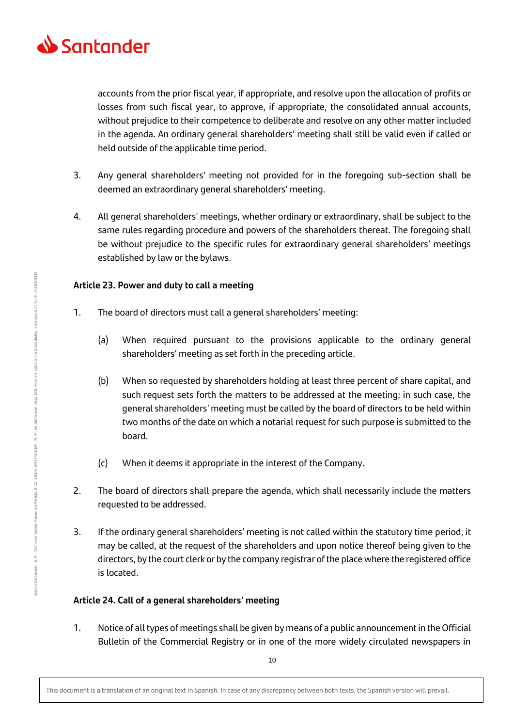

accounts from the prior fiscal year, if appropriate, and resolve upon the allocation of profits or losses from such fiscal year, to approve, if appropriate, the consolidated annual accounts, without prejudice to their competence to deliberate and resolve on any other matter included in the agenda. An ordinary general shareholders' meeting shall still be valid even if called or held outside of the applicable time period.

- 3. Any general shareholders' meeting not provided for in the foregoing sub-section shall be deemed an extraordinary general shareholders' meeting.
- 4. All general shareholders' meetings, whether ordinary or extraordinary, shall be subject to the same rules regarding procedure and powers of the shareholders thereat. The foregoing shall be without prejudice to the specific rules for extraordinary general shareholders' meetings established by law or the bylaws.

## **Article 23. Power and duty to call a meeting**

- 1. The board of directors must call a general shareholders' meeting:
	- (a) When required pursuant to the provisions applicable to the ordinary general shareholders' meeting as set forth in the preceding article.
	- (b) When so requested by shareholders holding at least three percent of share capital, and such request sets forth the matters to be addressed at the meeting; in such case, the general shareholders' meeting must be called by the board of directors to be held within two months of the date on which a notarial request for such purpose is submitted to the board.
	- (c) When it deems it appropriate in the interest of the Company.
- 2. The board of directors shall prepare the agenda, which shall necessarily include the matters requested to be addressed.
- 3. If the ordinary general shareholders' meeting is not called within the statutory time period, it may be called, at the request of the shareholders and upon notice thereof being given to the directors, by the court clerk or by the company registrar of the place where the registered office is located.

# **Article 24. Call of a general shareholders' meeting**

1. Notice of all types of meetings shall be given by means of a public announcement in the Official Bulletin of the Commercial Registry or in one of the more widely circulated newspapers in

Banco Santander , S.A. - Domicilio Social: Paseo de Pereda, 9-12. 3904 SANTANDER - R. M. de Santander, Hoja 286, Folio 64, Libro 5º de Sociedades, Inscripción 1ª. N.I.F. A-39000013

39004 SANTANDER - R. M. de Santander,

Paseo de Pereda, 9-12.

Domicilio Social:

3anco Santander, S.A.

Inscripción 1ª. N.I.F. A-39000013

64, Libro 5° de Sociedades,

 $Folio$ Hoja 286,

10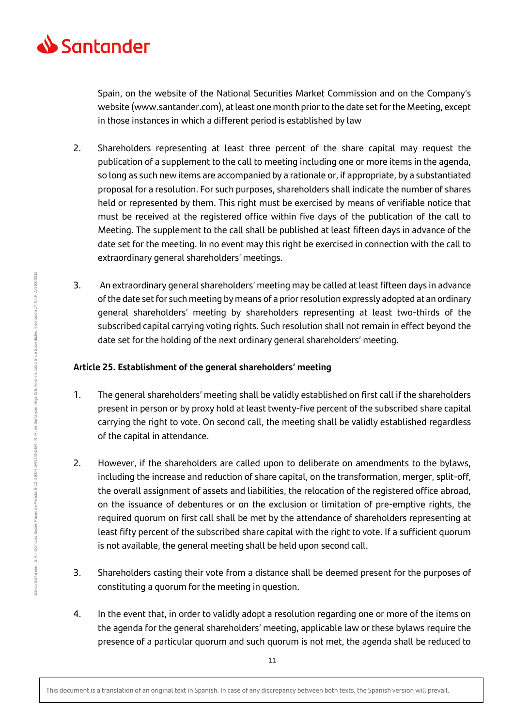

Spain, on the website of the National Securities Market Commission and on the Company's website (www.santander.com), at least one month prior to the date set for the Meeting, except in those instances in which a different period is established by law

- 2. Shareholders representing at least three percent of the share capital may request the publication of a supplement to the call to meeting including one or more items in the agenda, so long as such new items are accompanied by a rationale or, if appropriate, by a substantiated proposal for a resolution. For such purposes, shareholders shall indicate the number of shares held or represented by them. This right must be exercised by means of verifiable notice that must be received at the registered office within five days of the publication of the call to Meeting. The supplement to the call shall be published at least fifteen days in advance of the date set for the meeting. In no event may this right be exercised in connection with the call to extraordinary general shareholders' meetings.
- 3. An extraordinary general shareholders' meeting may be called at least fifteen days in advance of the date set for such meeting by means of a prior resolution expressly adopted at an ordinary general shareholders' meeting by shareholders representing at least two-thirds of the subscribed capital carrying voting rights. Such resolution shall not remain in effect beyond the date set for the holding of the next ordinary general shareholders' meeting.

# **Article 25. Establishment of the general shareholders' meeting**

- 1. The general shareholders' meeting shall be validly established on first call if the shareholders present in person or by proxy hold at least twenty-five percent of the subscribed share capital carrying the right to vote. On second call, the meeting shall be validly established regardless of the capital in attendance.
- 2. However, if the shareholders are called upon to deliberate on amendments to the bylaws, including the increase and reduction of share capital, on the transformation, merger, split-off, the overall assignment of assets and liabilities, the relocation of the registered office abroad, on the issuance of debentures or on the exclusion or limitation of pre-emptive rights, the required quorum on first call shall be met by the attendance of shareholders representing at least fifty percent of the subscribed share capital with the right to vote. If a sufficient quorum is not available, the general meeting shall be held upon second call.
- 3. Shareholders casting their vote from a distance shall be deemed present for the purposes of constituting a quorum for the meeting in question.
- 4. In the event that, in order to validly adopt a resolution regarding one or more of the items on the agenda for the general shareholders' meeting, applicable law or these bylaws require the presence of a particular quorum and such quorum is not met, the agenda shall be reduced to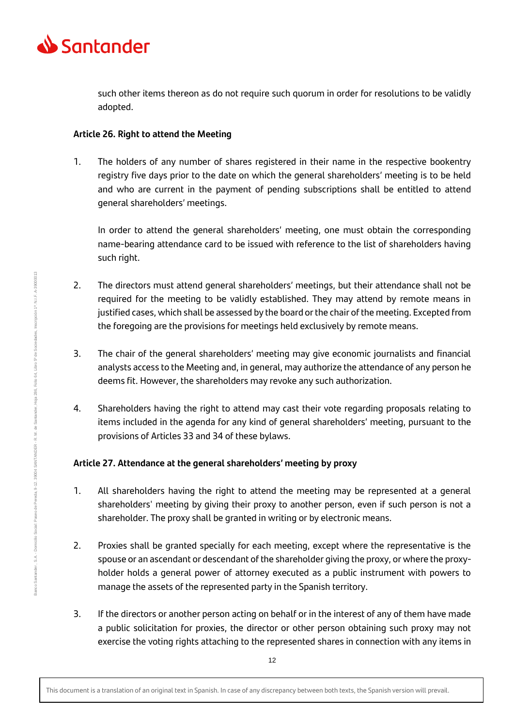

such other items thereon as do not require such quorum in order for resolutions to be validly adopted.

#### **Article 26. Right to attend the Meeting**

1. The holders of any number of shares registered in their name in the respective bookentry registry five days prior to the date on which the general shareholders' meeting is to be held and who are current in the payment of pending subscriptions shall be entitled to attend general shareholders' meetings.

In order to attend the general shareholders' meeting, one must obtain the corresponding name-bearing attendance card to be issued with reference to the list of shareholders having such right.

- 2. The directors must attend general shareholders' meetings, but their attendance shall not be required for the meeting to be validly established. They may attend by remote means in justified cases, which shall be assessed by the board or the chair of the meeting. Excepted from the foregoing are the provisions for meetings held exclusively by remote means.
- 3. The chair of the general shareholders' meeting may give economic journalists and financial analysts access to the Meeting and, in general, may authorize the attendance of any person he deems fit. However, the shareholders may revoke any such authorization.
- 4. Shareholders having the right to attend may cast their vote regarding proposals relating to items included in the agenda for any kind of general shareholders' meeting, pursuant to the provisions of Articles 33 and 34 of these bylaws.

## **Article 27. Attendance at the general shareholders' meeting by proxy**

- 1. All shareholders having the right to attend the meeting may be represented at a general shareholders' meeting by giving their proxy to another person, even if such person is not a shareholder. The proxy shall be granted in writing or by electronic means.
- 2. Proxies shall be granted specially for each meeting, except where the representative is the spouse or an ascendant or descendant of the shareholder giving the proxy, or where the proxyholder holds a general power of attorney executed as a public instrument with powers to manage the assets of the represented party in the Spanish territory.
- 3. If the directors or another person acting on behalf or in the interest of any of them have made a public solicitation for proxies, the director or other person obtaining such proxy may not exercise the voting rights attaching to the represented shares in connection with any items in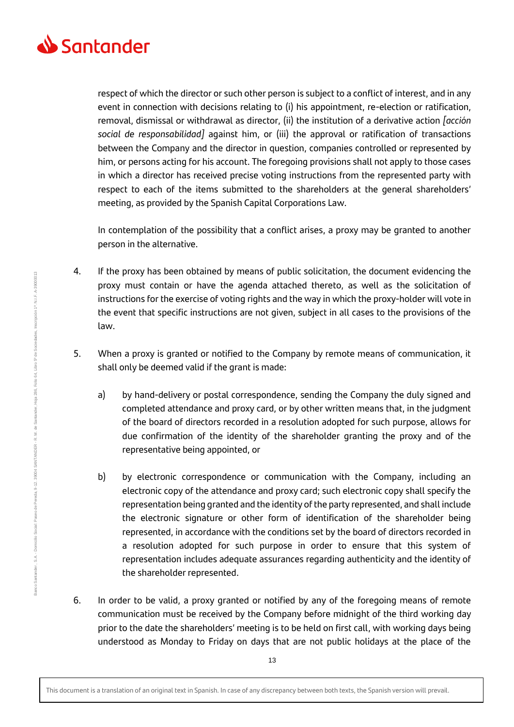

respect of which the director or such other person is subject to a conflict of interest, and in any event in connection with decisions relating to (i) his appointment, re-election or ratification, removal, dismissal or withdrawal as director, (ii) the institution of a derivative action *[acción social de responsabilidad]* against him, or (iii) the approval or ratification of transactions between the Company and the director in question, companies controlled or represented by him, or persons acting for his account. The foregoing provisions shall not apply to those cases in which a director has received precise voting instructions from the represented party with respect to each of the items submitted to the shareholders at the general shareholders' meeting, as provided by the Spanish Capital Corporations Law.

In contemplation of the possibility that a conflict arises, a proxy may be granted to another person in the alternative.

- 4. If the proxy has been obtained by means of public solicitation, the document evidencing the proxy must contain or have the agenda attached thereto, as well as the solicitation of instructions for the exercise of voting rights and the way in which the proxy-holder will vote in the event that specific instructions are not given, subject in all cases to the provisions of the law.
- 5. When a proxy is granted or notified to the Company by remote means of communication, it shall only be deemed valid if the grant is made:
	- a) by hand-delivery or postal correspondence, sending the Company the duly signed and completed attendance and proxy card, or by other written means that, in the judgment of the board of directors recorded in a resolution adopted for such purpose, allows for due confirmation of the identity of the shareholder granting the proxy and of the representative being appointed, or
	- b) by electronic correspondence or communication with the Company, including an electronic copy of the attendance and proxy card; such electronic copy shall specify the representation being granted and the identity of the party represented, and shall include the electronic signature or other form of identification of the shareholder being represented, in accordance with the conditions set by the board of directors recorded in a resolution adopted for such purpose in order to ensure that this system of representation includes adequate assurances regarding authenticity and the identity of the shareholder represented.
- 6. In order to be valid, a proxy granted or notified by any of the foregoing means of remote communication must be received by the Company before midnight of the third working day prior to the date the shareholders' meeting is to be held on first call, with working days being understood as Monday to Friday on days that are not public holidays at the place of the

This document is a translation of an original text in Spanish. In case of any discrepancy between both texts, the Spanish version will prevail.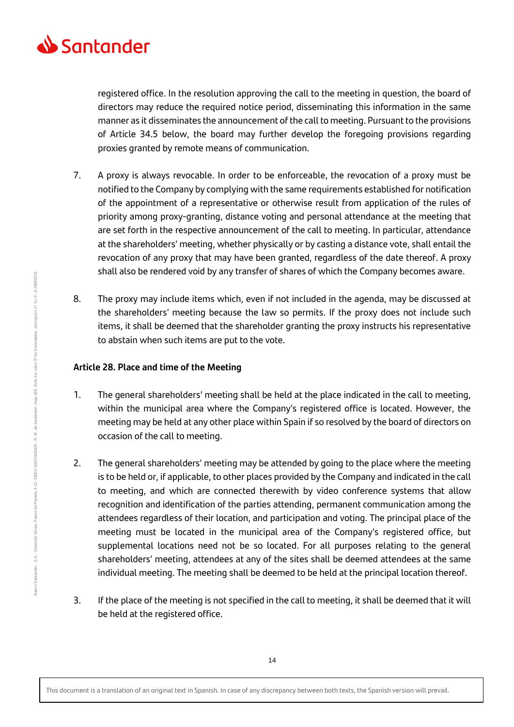

registered office. In the resolution approving the call to the meeting in question, the board of directors may reduce the required notice period, disseminating this information in the same manner as it disseminates the announcement of the call to meeting. Pursuant to the provisions of Article 34.5 below, the board may further develop the foregoing provisions regarding proxies granted by remote means of communication.

- 7. A proxy is always revocable. In order to be enforceable, the revocation of a proxy must be notified to the Company by complying with the same requirements established for notification of the appointment of a representative or otherwise result from application of the rules of priority among proxy-granting, distance voting and personal attendance at the meeting that are set forth in the respective announcement of the call to meeting. In particular, attendance at the shareholders' meeting, whether physically or by casting a distance vote, shall entail the revocation of any proxy that may have been granted, regardless of the date thereof. A proxy shall also be rendered void by any transfer of shares of which the Company becomes aware.
- 8. The proxy may include items which, even if not included in the agenda, may be discussed at the shareholders' meeting because the law so permits. If the proxy does not include such items, it shall be deemed that the shareholder granting the proxy instructs his representative to abstain when such items are put to the vote.

## **Article 28. Place and time of the Meeting**

- 1. The general shareholders' meeting shall be held at the place indicated in the call to meeting, within the municipal area where the Company's registered office is located. However, the meeting may be held at any other place within Spain if so resolved by the board of directors on occasion of the call to meeting.
- 2. The general shareholders' meeting may be attended by going to the place where the meeting is to be held or, if applicable, to other places provided by the Company and indicated in the call to meeting, and which are connected therewith by video conference systems that allow recognition and identification of the parties attending, permanent communication among the attendees regardless of their location, and participation and voting. The principal place of the meeting must be located in the municipal area of the Company's registered office, but supplemental locations need not be so located. For all purposes relating to the general shareholders' meeting, attendees at any of the sites shall be deemed attendees at the same individual meeting. The meeting shall be deemed to be held at the principal location thereof.
- 3. If the place of the meeting is not specified in the call to meeting, it shall be deemed that it will be held at the registered office.

This document is a translation of an original text in Spanish. In case of any discrepancy between both texts, the Spanish version will prevail.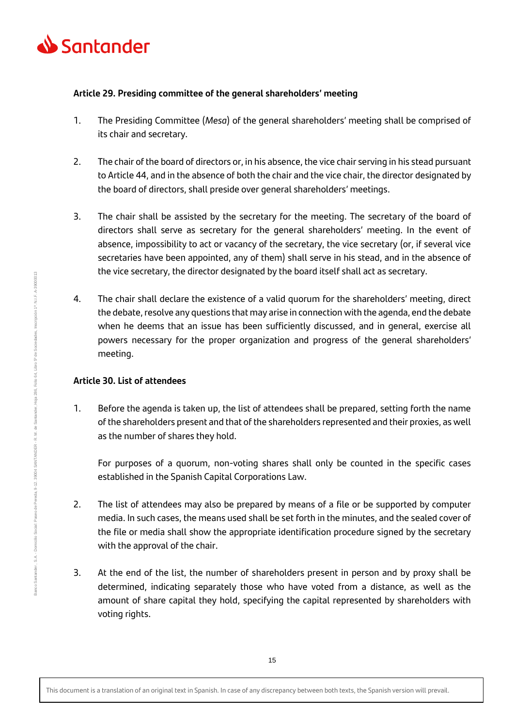

## **Article 29. Presiding committee of the general shareholders' meeting**

- 1. The Presiding Committee (*Mesa*) of the general shareholders' meeting shall be comprised of its chair and secretary.
- 2. The chair of the board of directors or, in his absence, the vice chair serving in his stead pursuant to Article 44, and in the absence of both the chair and the vice chair, the director designated by the board of directors, shall preside over general shareholders' meetings.
- 3. The chair shall be assisted by the secretary for the meeting. The secretary of the board of directors shall serve as secretary for the general shareholders' meeting. In the event of absence, impossibility to act or vacancy of the secretary, the vice secretary (or, if several vice secretaries have been appointed, any of them) shall serve in his stead, and in the absence of the vice secretary, the director designated by the board itself shall act as secretary.
- 4. The chair shall declare the existence of a valid quorum for the shareholders' meeting, direct the debate, resolve any questions that may arise in connection with the agenda, end the debate when he deems that an issue has been sufficiently discussed, and in general, exercise all powers necessary for the proper organization and progress of the general shareholders' meeting.

# **Article 30. List of attendees**

1. Before the agenda is taken up, the list of attendees shall be prepared, setting forth the name of the shareholders present and that of the shareholders represented and their proxies, as well as the number of shares they hold.

For purposes of a quorum, non-voting shares shall only be counted in the specific cases established in the Spanish Capital Corporations Law.

- 2. The list of attendees may also be prepared by means of a file or be supported by computer media. In such cases, the means used shall be set forth in the minutes, and the sealed cover of the file or media shall show the appropriate identification procedure signed by the secretary with the approval of the chair.
- 3. At the end of the list, the number of shareholders present in person and by proxy shall be determined, indicating separately those who have voted from a distance, as well as the amount of share capital they hold, specifying the capital represented by shareholders with voting rights.

hscripción 1ª. N.I.F. A-39000013

Folio 64, Libro 5º de Sociedades,

Hoja 286,

This document is a translation of an original text in Spanish. In case of any discrepancy between both texts, the Spanish version will prevail.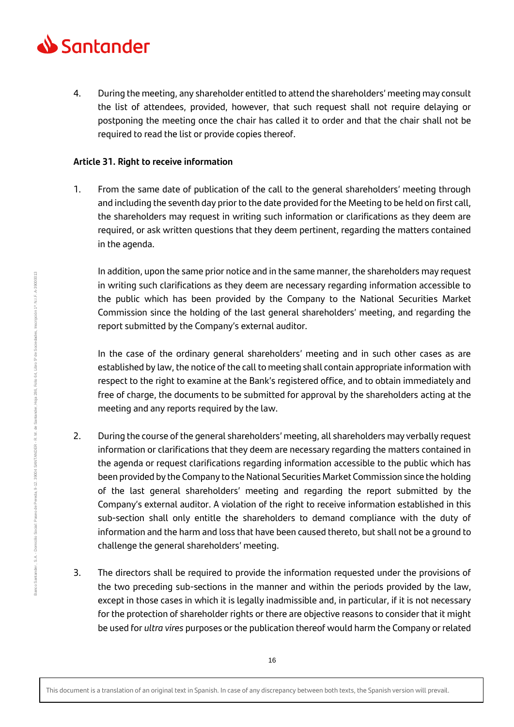

4. During the meeting, any shareholder entitled to attend the shareholders' meeting may consult the list of attendees, provided, however, that such request shall not require delaying or postponing the meeting once the chair has called it to order and that the chair shall not be required to read the list or provide copies thereof.

#### **Article 31. Right to receive information**

1. From the same date of publication of the call to the general shareholders' meeting through and including the seventh day prior to the date provided for the Meeting to be held on first call, the shareholders may request in writing such information or clarifications as they deem are required, or ask written questions that they deem pertinent, regarding the matters contained in the agenda.

In addition, upon the same prior notice and in the same manner, the shareholders may request in writing such clarifications as they deem are necessary regarding information accessible to the public which has been provided by the Company to the National Securities Market Commission since the holding of the last general shareholders' meeting, and regarding the report submitted by the Company's external auditor.

In the case of the ordinary general shareholders' meeting and in such other cases as are established by law, the notice of the call to meeting shall contain appropriate information with respect to the right to examine at the Bank's registered office, and to obtain immediately and free of charge, the documents to be submitted for approval by the shareholders acting at the meeting and any reports required by the law.

- 2. During the course of the general shareholders' meeting, all shareholders may verbally request information or clarifications that they deem are necessary regarding the matters contained in the agenda or request clarifications regarding information accessible to the public which has been provided by the Company to the National Securities Market Commission since the holding of the last general shareholders' meeting and regarding the report submitted by the Company's external auditor. A violation of the right to receive information established in this sub-section shall only entitle the shareholders to demand compliance with the duty of information and the harm and loss that have been caused thereto, but shall not be a ground to challenge the general shareholders' meeting.
- 3. The directors shall be required to provide the information requested under the provisions of the two preceding sub-sections in the manner and within the periods provided by the law, except in those cases in which it is legally inadmissible and, in particular, if it is not necessary for the protection of shareholder rights or there are objective reasons to consider that it might be used for *ultra vires* purposes or the publication thereof would harm the Company or related

Banco Santander, S.A.

Banco Santander , S.A. - Domicilio Social: Paseo de Pereda, 9-12. 3904 SANTANDER - R. M. de Santander, Hoja 286, Folio 64, Libro 5º de Sociedades, Inscripción 1ª. N.I.F. A-39000013

Domicilio Social: Paseo de Pereda, 9-12, 39004 SANTANDER - R. M. de Santander,

Hoja 286, Folio 64, Libro 5º de Sociedades, Inscripción 1ª. N.I.F. A-39000013

<sup>16</sup>

This document is a translation of an original text in Spanish. In case of any discrepancy between both texts, the Spanish version will prevail.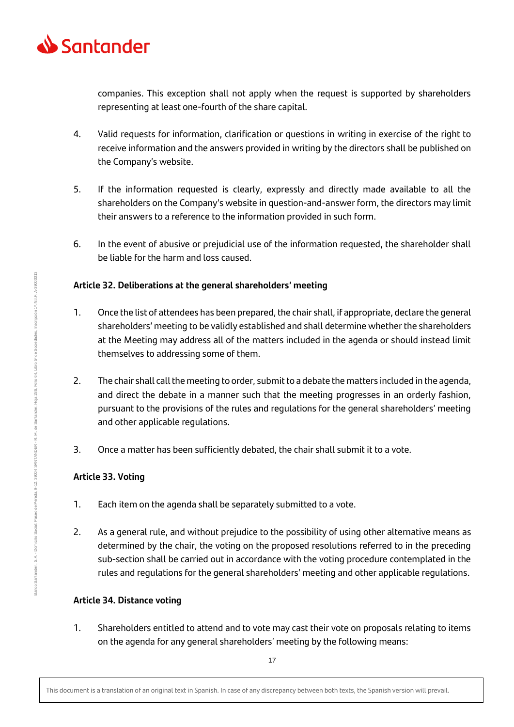

companies. This exception shall not apply when the request is supported by shareholders representing at least one-fourth of the share capital.

- 4. Valid requests for information, clarification or questions in writing in exercise of the right to receive information and the answers provided in writing by the directors shall be published on the Company's website.
- 5. If the information requested is clearly, expressly and directly made available to all the shareholders on the Company's website in question-and-answer form, the directors may limit their answers to a reference to the information provided in such form.
- 6. In the event of abusive or prejudicial use of the information requested, the shareholder shall be liable for the harm and loss caused.

## **Article 32. Deliberations at the general shareholders' meeting**

- 1. Once the list of attendees has been prepared, the chair shall, if appropriate, declare the general shareholders' meeting to be validly established and shall determine whether the shareholders at the Meeting may address all of the matters included in the agenda or should instead limit themselves to addressing some of them.
- 2. The chair shall call the meeting to order, submit to a debate the matters included in the agenda, and direct the debate in a manner such that the meeting progresses in an orderly fashion, pursuant to the provisions of the rules and regulations for the general shareholders' meeting and other applicable regulations.
- 3. Once a matter has been sufficiently debated, the chair shall submit it to a vote.

## **Article 33. Voting**

- 1. Each item on the agenda shall be separately submitted to a vote.
- 2. As a general rule, and without prejudice to the possibility of using other alternative means as determined by the chair, the voting on the proposed resolutions referred to in the preceding sub-section shall be carried out in accordance with the voting procedure contemplated in the rules and regulations for the general shareholders' meeting and other applicable regulations.

## **Article 34. Distance voting**

1. Shareholders entitled to attend and to vote may cast their vote on proposals relating to items on the agenda for any general shareholders' meeting by the following means: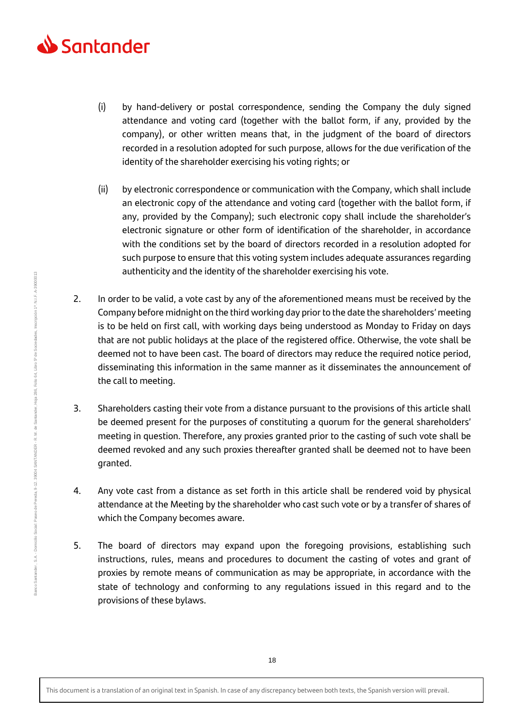

- (i) by hand-delivery or postal correspondence, sending the Company the duly signed attendance and voting card (together with the ballot form, if any, provided by the company), or other written means that, in the judgment of the board of directors recorded in a resolution adopted for such purpose, allows for the due verification of the identity of the shareholder exercising his voting rights; or
- (ii) by electronic correspondence or communication with the Company, which shall include an electronic copy of the attendance and voting card (together with the ballot form, if any, provided by the Company); such electronic copy shall include the shareholder's electronic signature or other form of identification of the shareholder, in accordance with the conditions set by the board of directors recorded in a resolution adopted for such purpose to ensure that this voting system includes adequate assurances regarding authenticity and the identity of the shareholder exercising his vote.
- 2. In order to be valid, a vote cast by any of the aforementioned means must be received by the Company before midnight on the third working day prior to the date the shareholders' meeting is to be held on first call, with working days being understood as Monday to Friday on days that are not public holidays at the place of the registered office. Otherwise, the vote shall be deemed not to have been cast. The board of directors may reduce the required notice period, disseminating this information in the same manner as it disseminates the announcement of the call to meeting.
- 3. Shareholders casting their vote from a distance pursuant to the provisions of this article shall be deemed present for the purposes of constituting a quorum for the general shareholders' meeting in question. Therefore, any proxies granted prior to the casting of such vote shall be deemed revoked and any such proxies thereafter granted shall be deemed not to have been granted.
- 4. Any vote cast from a distance as set forth in this article shall be rendered void by physical attendance at the Meeting by the shareholder who cast such vote or by a transfer of shares of which the Company becomes aware.
- 5. The board of directors may expand upon the foregoing provisions, establishing such instructions, rules, means and procedures to document the casting of votes and grant of proxies by remote means of communication as may be appropriate, in accordance with the state of technology and conforming to any regulations issued in this regard and to the provisions of these bylaws.

Banco Santander , S.A. - Domicilio Social: Paseo de Pereda, 9-12. 3904 SANTANDER - R. M. de Santander, Hoja 286, Folio 64, Libro 5º de Sociedades, Inscripción 1ª. N.I.F. A-39000013

Domicilio Social: Paseo de Pereda, 9-12, 39004 SANTANDER - R. M. de Santander,

sanco Santander, S.A.

Hoja 286, Folio 64, Libro 5º de Sociedades, Inscripción 1ª. N.I.F. A-39000013

This document is a translation of an original text in Spanish. In case of any discrepancy between both texts, the Spanish version will prevail.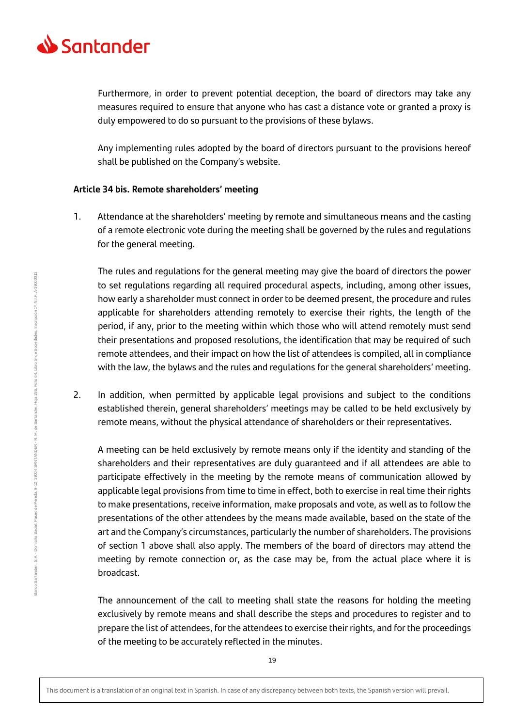

Furthermore, in order to prevent potential deception, the board of directors may take any measures required to ensure that anyone who has cast a distance vote or granted a proxy is duly empowered to do so pursuant to the provisions of these bylaws.

Any implementing rules adopted by the board of directors pursuant to the provisions hereof shall be published on the Company's website.

#### **Article 34 bis. Remote shareholders' meeting**

1. Attendance at the shareholders' meeting by remote and simultaneous means and the casting of a remote electronic vote during the meeting shall be governed by the rules and regulations for the general meeting.

The rules and regulations for the general meeting may give the board of directors the power to set regulations regarding all required procedural aspects, including, among other issues, how early a shareholder must connect in order to be deemed present, the procedure and rules applicable for shareholders attending remotely to exercise their rights, the length of the period, if any, prior to the meeting within which those who will attend remotely must send their presentations and proposed resolutions, the identification that may be required of such remote attendees, and their impact on how the list of attendees is compiled, all in compliance with the law, the bylaws and the rules and regulations for the general shareholders' meeting.

2. In addition, when permitted by applicable legal provisions and subject to the conditions established therein, general shareholders' meetings may be called to be held exclusively by remote means, without the physical attendance of shareholders or their representatives.

A meeting can be held exclusively by remote means only if the identity and standing of the shareholders and their representatives are duly guaranteed and if all attendees are able to participate effectively in the meeting by the remote means of communication allowed by applicable legal provisions from time to time in effect, both to exercise in real time their rights to make presentations, receive information, make proposals and vote, as well as to follow the presentations of the other attendees by the means made available, based on the state of the art and the Company's circumstances, particularly the number of shareholders. The provisions of section 1 above shall also apply. The members of the board of directors may attend the meeting by remote connection or, as the case may be, from the actual place where it is broadcast.

The announcement of the call to meeting shall state the reasons for holding the meeting exclusively by remote means and shall describe the steps and procedures to register and to prepare the list of attendees, for the attendees to exercise their rights, and for the proceedings of the meeting to be accurately reflected in the minutes.

This document is a translation of an original text in Spanish. In case of any discrepancy between both texts, the Spanish version will prevail.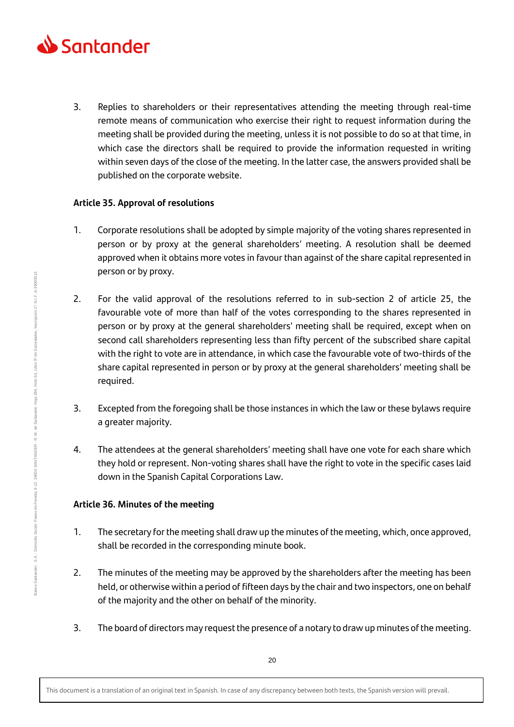

3. Replies to shareholders or their representatives attending the meeting through real-time remote means of communication who exercise their right to request information during the meeting shall be provided during the meeting, unless it is not possible to do so at that time, in which case the directors shall be required to provide the information requested in writing within seven days of the close of the meeting. In the latter case, the answers provided shall be published on the corporate website.

## **Article 35. Approval of resolutions**

- 1. Corporate resolutions shall be adopted by simple majority of the voting shares represented in person or by proxy at the general shareholders' meeting. A resolution shall be deemed approved when it obtains more votes in favour than against of the share capital represented in person or by proxy.
- 2. For the valid approval of the resolutions referred to in sub-section 2 of article 25, the favourable vote of more than half of the votes corresponding to the shares represented in person or by proxy at the general shareholders' meeting shall be required, except when on second call shareholders representing less than fifty percent of the subscribed share capital with the right to vote are in attendance, in which case the favourable vote of two-thirds of the share capital represented in person or by proxy at the general shareholders' meeting shall be required.
- 3. Excepted from the foregoing shall be those instances in which the law or these bylaws require a greater majority.
- 4. The attendees at the general shareholders' meeting shall have one vote for each share which they hold or represent. Non-voting shares shall have the right to vote in the specific cases laid down in the Spanish Capital Corporations Law.

# **Article 36. Minutes of the meeting**

- 1. The secretary for the meeting shall draw up the minutes of the meeting, which, once approved, shall be recorded in the corresponding minute book.
- 2. The minutes of the meeting may be approved by the shareholders after the meeting has been held, or otherwise within a period of fifteen days by the chair and two inspectors, one on behalf of the majority and the other on behalf of the minority.
- 3. The board of directors may request the presence of a notary to draw up minutes of the meeting.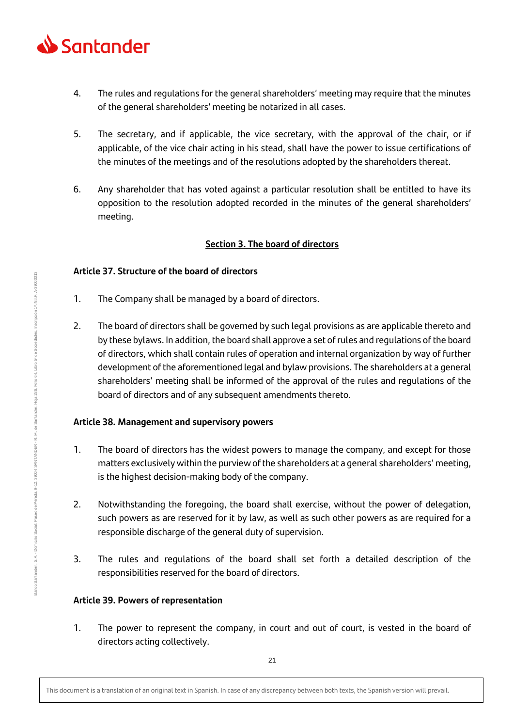

- 4. The rules and regulations for the general shareholders' meeting may require that the minutes of the general shareholders' meeting be notarized in all cases.
- 5. The secretary, and if applicable, the vice secretary, with the approval of the chair, or if applicable, of the vice chair acting in his stead, shall have the power to issue certifications of the minutes of the meetings and of the resolutions adopted by the shareholders thereat.
- 6. Any shareholder that has voted against a particular resolution shall be entitled to have its opposition to the resolution adopted recorded in the minutes of the general shareholders' meeting.

## **Section 3. The board of directors**

## **Article 37. Structure of the board of directors**

- 1. The Company shall be managed by a board of directors.
- 2. The board of directors shall be governed by such legal provisions as are applicable thereto and by these bylaws. In addition, the board shall approve a set of rules and regulations of the board of directors, which shall contain rules of operation and internal organization by way of further development of the aforementioned legal and bylaw provisions. The shareholders at a general shareholders' meeting shall be informed of the approval of the rules and regulations of the board of directors and of any subsequent amendments thereto.

# **Article 38. Management and supervisory powers**

- 1. The board of directors has the widest powers to manage the company, and except for those matters exclusively within the purview of the shareholders at a general shareholders' meeting, is the highest decision-making body of the company.
- 2. Notwithstanding the foregoing, the board shall exercise, without the power of delegation, such powers as are reserved for it by law, as well as such other powers as are required for a responsible discharge of the general duty of supervision.
- 3. The rules and regulations of the board shall set forth a detailed description of the responsibilities reserved for the board of directors.

# **Article 39. Powers of representation**

1. The power to represent the company, in court and out of court, is vested in the board of directors acting collectively.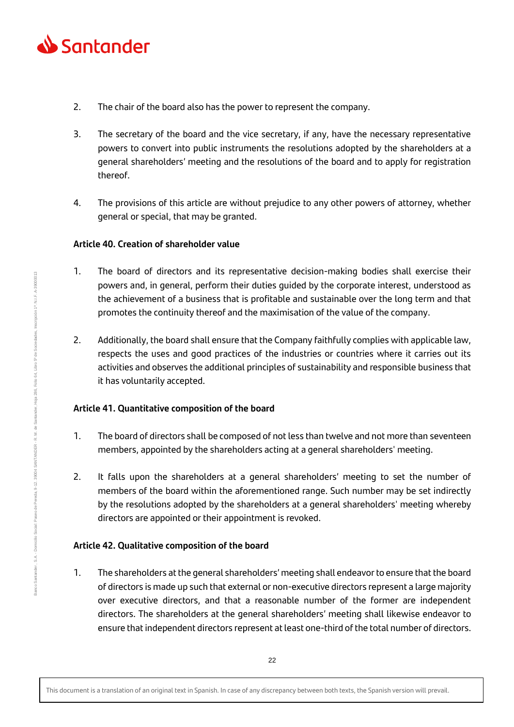

- 2. The chair of the board also has the power to represent the company.
- 3. The secretary of the board and the vice secretary, if any, have the necessary representative powers to convert into public instruments the resolutions adopted by the shareholders at a general shareholders' meeting and the resolutions of the board and to apply for registration thereof.
- 4. The provisions of this article are without prejudice to any other powers of attorney, whether general or special, that may be granted.

## **Article 40. Creation of shareholder value**

- 1. The board of directors and its representative decision-making bodies shall exercise their powers and, in general, perform their duties guided by the corporate interest, understood as the achievement of a business that is profitable and sustainable over the long term and that promotes the continuity thereof and the maximisation of the value of the company.
- 2. Additionally, the board shall ensure that the Company faithfully complies with applicable law, respects the uses and good practices of the industries or countries where it carries out its activities and observes the additional principles of sustainability and responsible business that it has voluntarily accepted.

# **Article 41. Quantitative composition of the board**

- 1. The board of directors shall be composed of not less than twelve and not more than seventeen members, appointed by the shareholders acting at a general shareholders' meeting.
- 2. It falls upon the shareholders at a general shareholders' meeting to set the number of members of the board within the aforementioned range. Such number may be set indirectly by the resolutions adopted by the shareholders at a general shareholders' meeting whereby directors are appointed or their appointment is revoked.

# **Article 42. Qualitative composition of the board**

1. The shareholders at the general shareholders' meeting shall endeavor to ensure that the board of directors is made up such that external or non-executive directors represent a large majority over executive directors, and that a reasonable number of the former are independent directors. The shareholders at the general shareholders' meeting shall likewise endeavor to ensure that independent directors represent at least one-third of the total number of directors.

This document is a translation of an original text in Spanish. In case of any discrepancy between both texts, the Spanish version will prevail.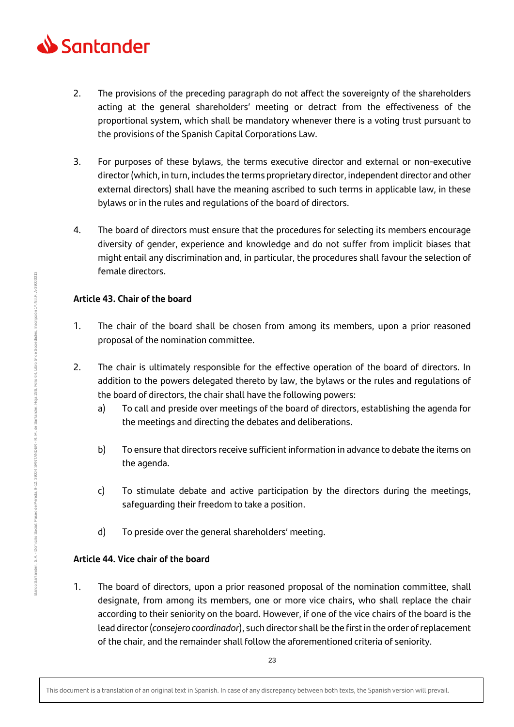

- 2. The provisions of the preceding paragraph do not affect the sovereignty of the shareholders acting at the general shareholders' meeting or detract from the effectiveness of the proportional system, which shall be mandatory whenever there is a voting trust pursuant to the provisions of the Spanish Capital Corporations Law.
- 3. For purposes of these bylaws, the terms executive director and external or non-executive director (which, in turn, includes the terms proprietary director, independent director and other external directors) shall have the meaning ascribed to such terms in applicable law, in these bylaws or in the rules and regulations of the board of directors.
- 4. The board of directors must ensure that the procedures for selecting its members encourage diversity of gender, experience and knowledge and do not suffer from implicit biases that might entail any discrimination and, in particular, the procedures shall favour the selection of female directors.

## **Article 43. Chair of the board**

- 1. The chair of the board shall be chosen from among its members, upon a prior reasoned proposal of the nomination committee.
- 2. The chair is ultimately responsible for the effective operation of the board of directors. In addition to the powers delegated thereto by law, the bylaws or the rules and regulations of the board of directors, the chair shall have the following powers:
	- a) To call and preside over meetings of the board of directors, establishing the agenda for the meetings and directing the debates and deliberations.
	- b) To ensure that directors receive sufficient information in advance to debate the items on the agenda.
	- c) To stimulate debate and active participation by the directors during the meetings, safeguarding their freedom to take a position.
	- d) To preside over the general shareholders' meeting.

# **Article 44. Vice chair of the board**

1. The board of directors, upon a prior reasoned proposal of the nomination committee, shall designate, from among its members, one or more vice chairs, who shall replace the chair according to their seniority on the board. However, if one of the vice chairs of the board is the lead director (*consejero coordinador*), such director shall be the first in the order of replacement of the chair, and the remainder shall follow the aforementioned criteria of seniority.

Banco Santander , S.A. - Domicilio Social: Paseo de Pereda, 9-12. 3904 SANTANDER - R. M. de Santander, Hoja 286, Folio 64, Libro 5º de Sociedades, Inscripción 1ª. N.I.F. A-39000013

Domicilio Social: Paseo de Pereda, 9-12, 39004 SANTANDER - R. M. de Santander,

Inscripción 1ª. N.I.F. A-39000013

64, Libro 5° de Sociedades,

Folio Hoja 286,

This document is a translation of an original text in Spanish. In case of any discrepancy between both texts, the Spanish version will prevail.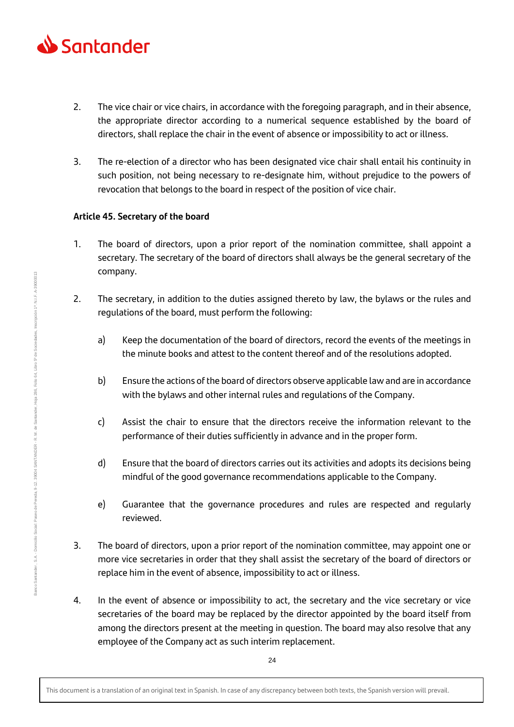

- 2. The vice chair or vice chairs, in accordance with the foregoing paragraph, and in their absence, the appropriate director according to a numerical sequence established by the board of directors, shall replace the chair in the event of absence or impossibility to act or illness.
- 3. The re-election of a director who has been designated vice chair shall entail his continuity in such position, not being necessary to re-designate him, without prejudice to the powers of revocation that belongs to the board in respect of the position of vice chair.

## **Article 45. Secretary of the board**

- 1. The board of directors, upon a prior report of the nomination committee, shall appoint a secretary. The secretary of the board of directors shall always be the general secretary of the company.
- 2. The secretary, in addition to the duties assigned thereto by law, the bylaws or the rules and regulations of the board, must perform the following:
	- a) Keep the documentation of the board of directors, record the events of the meetings in the minute books and attest to the content thereof and of the resolutions adopted.
	- b) Ensure the actions of the board of directors observe applicable law and are in accordance with the bylaws and other internal rules and regulations of the Company.
	- c) Assist the chair to ensure that the directors receive the information relevant to the performance of their duties sufficiently in advance and in the proper form.
	- d) Ensure that the board of directors carries out its activities and adopts its decisions being mindful of the good governance recommendations applicable to the Company.
	- e) Guarantee that the governance procedures and rules are respected and regularly reviewed.
- 3. The board of directors, upon a prior report of the nomination committee, may appoint one or more vice secretaries in order that they shall assist the secretary of the board of directors or replace him in the event of absence, impossibility to act or illness.
- 4. In the event of absence or impossibility to act, the secretary and the vice secretary or vice secretaries of the board may be replaced by the director appointed by the board itself from among the directors present at the meeting in question. The board may also resolve that any employee of the Company act as such interim replacement.

24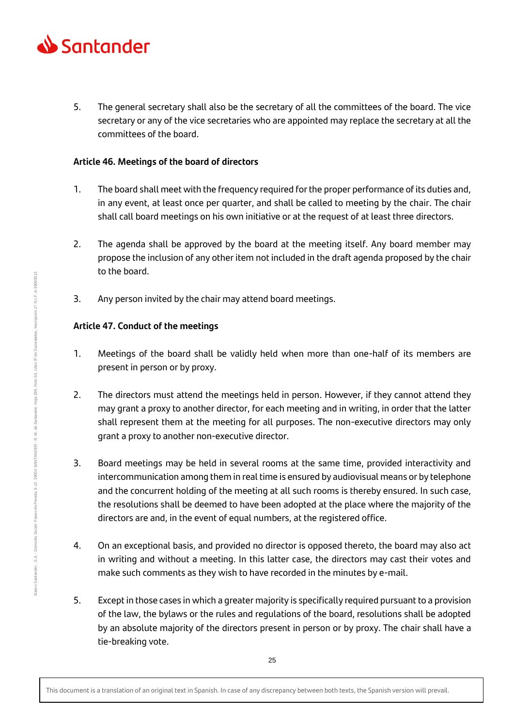

5. The general secretary shall also be the secretary of all the committees of the board. The vice secretary or any of the vice secretaries who are appointed may replace the secretary at all the committees of the board.

## **Article 46. Meetings of the board of directors**

- 1. The board shall meet with the frequency required for the proper performance of its duties and, in any event, at least once per quarter, and shall be called to meeting by the chair. The chair shall call board meetings on his own initiative or at the request of at least three directors.
- 2. The agenda shall be approved by the board at the meeting itself. Any board member may propose the inclusion of any other item not included in the draft agenda proposed by the chair to the board.
- 3. Any person invited by the chair may attend board meetings.

# **Article 47. Conduct of the meetings**

- 1. Meetings of the board shall be validly held when more than one-half of its members are present in person or by proxy.
- 2. The directors must attend the meetings held in person. However, if they cannot attend they may grant a proxy to another director, for each meeting and in writing, in order that the latter shall represent them at the meeting for all purposes. The non-executive directors may only grant a proxy to another non-executive director.
- 3. Board meetings may be held in several rooms at the same time, provided interactivity and intercommunication among them in real time is ensured by audiovisual means or by telephone and the concurrent holding of the meeting at all such rooms is thereby ensured. In such case, the resolutions shall be deemed to have been adopted at the place where the majority of the directors are and, in the event of equal numbers, at the registered office.
- 4. On an exceptional basis, and provided no director is opposed thereto, the board may also act in writing and without a meeting. In this latter case, the directors may cast their votes and make such comments as they wish to have recorded in the minutes by e-mail.
- 5. Except in those cases in which a greater majority is specifically required pursuant to a provision of the law, the bylaws or the rules and regulations of the board, resolutions shall be adopted by an absolute majority of the directors present in person or by proxy. The chair shall have a tie-breaking vote.

hscripción 1ª. N.I.F. A-39000013

64, Libro 5° de Sociedades,

 $Folio$ Hoja 286,

Domicilio Social: Paseo de Pereda, 9-12, 39004 SANTANDER - R. M. de Santander,

This document is a translation of an original text in Spanish. In case of any discrepancy between both texts, the Spanish version will prevail.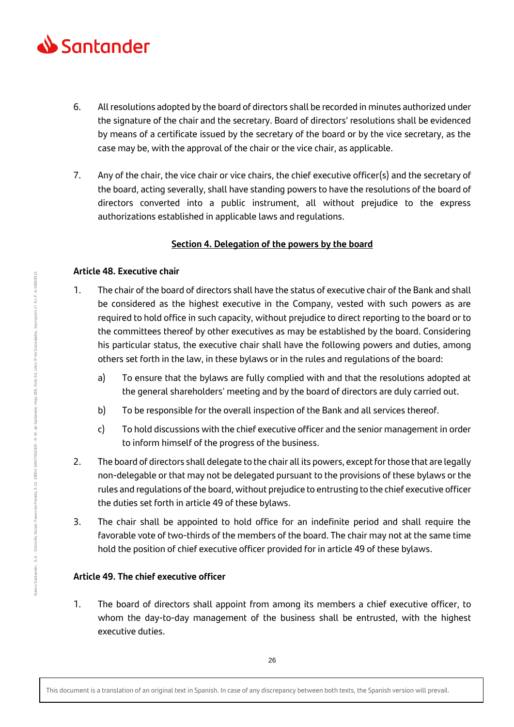

- 6. All resolutions adopted by the board of directors shall be recorded in minutes authorized under the signature of the chair and the secretary. Board of directors' resolutions shall be evidenced by means of a certificate issued by the secretary of the board or by the vice secretary, as the case may be, with the approval of the chair or the vice chair, as applicable.
- 7. Any of the chair, the vice chair or vice chairs, the chief executive officer(s) and the secretary of the board, acting severally, shall have standing powers to have the resolutions of the board of directors converted into a public instrument, all without prejudice to the express authorizations established in applicable laws and regulations.

## **Section 4. Delegation of the powers by the board**

## **Article 48. Executive chair**

- 1. The chair of the board of directors shall have the status of executive chair of the Bank and shall be considered as the highest executive in the Company, vested with such powers as are required to hold office in such capacity, without prejudice to direct reporting to the board or to the committees thereof by other executives as may be established by the board. Considering his particular status, the executive chair shall have the following powers and duties, among others set forth in the law, in these bylaws or in the rules and regulations of the board:
	- a) To ensure that the bylaws are fully complied with and that the resolutions adopted at the general shareholders' meeting and by the board of directors are duly carried out.
	- b) To be responsible for the overall inspection of the Bank and all services thereof.
	- c) To hold discussions with the chief executive officer and the senior management in order to inform himself of the progress of the business.
- 2. The board of directors shall delegate to the chair all its powers, except for those that are legally non-delegable or that may not be delegated pursuant to the provisions of these bylaws or the rules and regulations of the board, without prejudice to entrusting to the chief executive officer the duties set forth in article 49 of these bylaws.
- 3. The chair shall be appointed to hold office for an indefinite period and shall require the favorable vote of two-thirds of the members of the board. The chair may not at the same time hold the position of chief executive officer provided for in article 49 of these bylaws.

# **Article 49. The chief executive officer**

1. The board of directors shall appoint from among its members a chief executive officer, to whom the day-to-day management of the business shall be entrusted, with the highest executive duties.

hscripción 1ª. N.I.F. A-39000013

Folio 64, Libro 5º de Sociedades,

Hoja 286,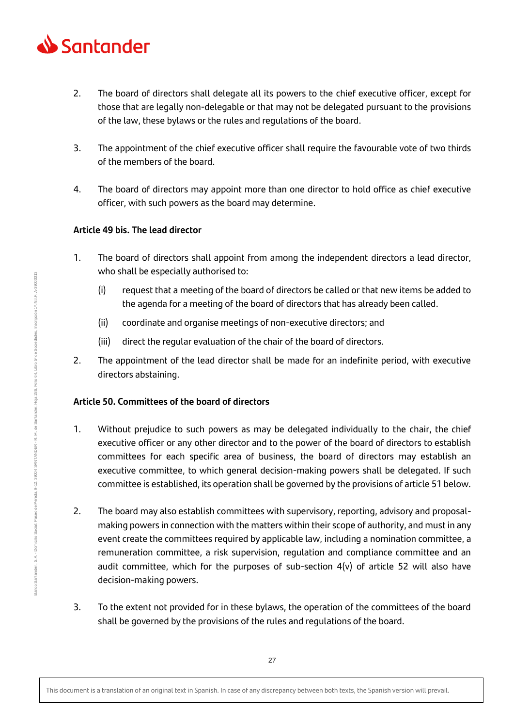

- 2. The board of directors shall delegate all its powers to the chief executive officer, except for those that are legally non-delegable or that may not be delegated pursuant to the provisions of the law, these bylaws or the rules and regulations of the board.
- 3. The appointment of the chief executive officer shall require the favourable vote of two thirds of the members of the board.
- 4. The board of directors may appoint more than one director to hold office as chief executive officer, with such powers as the board may determine.

## **Article 49 bis. The lead director**

- 1. The board of directors shall appoint from among the independent directors a lead director, who shall be especially authorised to:
	- (i) request that a meeting of the board of directors be called or that new items be added to the agenda for a meeting of the board of directors that has already been called.
	- (ii) coordinate and organise meetings of non-executive directors; and
	- (iii) direct the regular evaluation of the chair of the board of directors.
- 2. The appointment of the lead director shall be made for an indefinite period, with executive directors abstaining.

## **Article 50. Committees of the board of directors**

- 1. Without prejudice to such powers as may be delegated individually to the chair, the chief executive officer or any other director and to the power of the board of directors to establish committees for each specific area of business, the board of directors may establish an executive committee, to which general decision-making powers shall be delegated. If such committee is established, its operation shall be governed by the provisions of article 51 below.
- 2. The board may also establish committees with supervisory, reporting, advisory and proposalmaking powers in connection with the matters within their scope of authority, and must in any event create the committees required by applicable law, including a nomination committee, a remuneration committee, a risk supervision, regulation and compliance committee and an audit committee, which for the purposes of sub-section  $4(v)$  of article 52 will also have decision-making powers.
- 3. To the extent not provided for in these bylaws, the operation of the committees of the board shall be governed by the provisions of the rules and regulations of the board.

This document is a translation of an original text in Spanish. In case of any discrepancy between both texts, the Spanish version will prevail.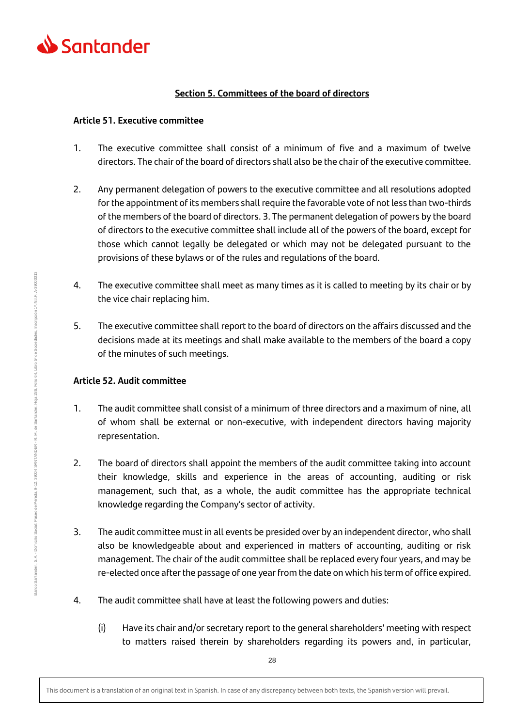

## **Section 5. Committees of the board of directors**

## **Article 51. Executive committee**

- 1. The executive committee shall consist of a minimum of five and a maximum of twelve directors. The chair of the board of directors shall also be the chair of the executive committee.
- 2. Any permanent delegation of powers to the executive committee and all resolutions adopted for the appointment of its members shall require the favorable vote of not less than two-thirds of the members of the board of directors. 3. The permanent delegation of powers by the board of directors to the executive committee shall include all of the powers of the board, except for those which cannot legally be delegated or which may not be delegated pursuant to the provisions of these bylaws or of the rules and regulations of the board.
- 4. The executive committee shall meet as many times as it is called to meeting by its chair or by the vice chair replacing him.
- 5. The executive committee shall report to the board of directors on the affairs discussed and the decisions made at its meetings and shall make available to the members of the board a copy of the minutes of such meetings.

## **Article 52. Audit committee**

- 1. The audit committee shall consist of a minimum of three directors and a maximum of nine, all of whom shall be external or non-executive, with independent directors having majority representation.
- 2. The board of directors shall appoint the members of the audit committee taking into account their knowledge, skills and experience in the areas of accounting, auditing or risk management, such that, as a whole, the audit committee has the appropriate technical knowledge regarding the Company's sector of activity.
- 3. The audit committee must in all events be presided over by an independent director, who shall also be knowledgeable about and experienced in matters of accounting, auditing or risk management. The chair of the audit committee shall be replaced every four years, and may be re-elected once after the passage of one year from the date on which his term of office expired.
- 4. The audit committee shall have at least the following powers and duties:
	- (i) Have its chair and/or secretary report to the general shareholders' meeting with respect to matters raised therein by shareholders regarding its powers and, in particular,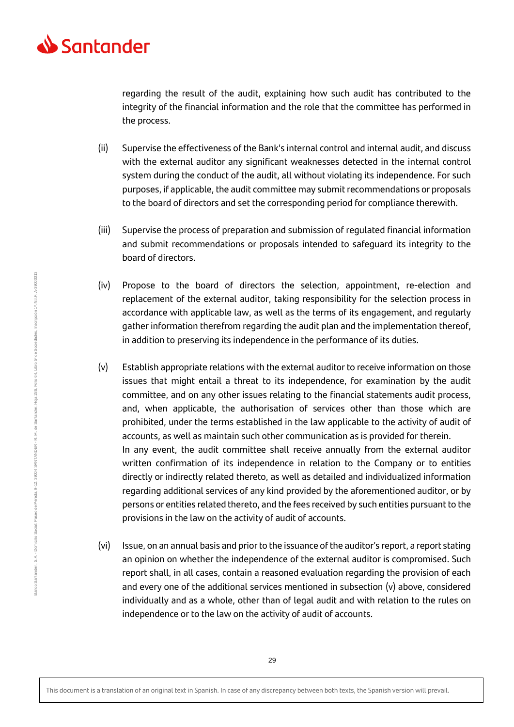

regarding the result of the audit, explaining how such audit has contributed to the integrity of the financial information and the role that the committee has performed in the process.

- (ii) Supervise the effectiveness of the Bank's internal control and internal audit, and discuss with the external auditor any significant weaknesses detected in the internal control system during the conduct of the audit, all without violating its independence. For such purposes, if applicable, the audit committee may submit recommendations or proposals to the board of directors and set the corresponding period for compliance therewith.
- (iii) Supervise the process of preparation and submission of regulated financial information and submit recommendations or proposals intended to safeguard its integrity to the board of directors.
- (iv) Propose to the board of directors the selection, appointment, re-election and replacement of the external auditor, taking responsibility for the selection process in accordance with applicable law, as well as the terms of its engagement, and regularly gather information therefrom regarding the audit plan and the implementation thereof, in addition to preserving its independence in the performance of its duties.
- (v) Establish appropriate relations with the external auditor to receive information on those issues that might entail a threat to its independence, for examination by the audit committee, and on any other issues relating to the financial statements audit process, and, when applicable, the authorisation of services other than those which are prohibited, under the terms established in the law applicable to the activity of audit of accounts, as well as maintain such other communication as is provided for therein. In any event, the audit committee shall receive annually from the external auditor written confirmation of its independence in relation to the Company or to entities directly or indirectly related thereto, as well as detailed and individualized information regarding additional services of any kind provided by the aforementioned auditor, or by persons or entities related thereto, and the fees received by such entities pursuant to the provisions in the law on the activity of audit of accounts.
- (vi) Issue, on an annual basis and prior to the issuance of the auditor's report, a report stating an opinion on whether the independence of the external auditor is compromised. Such report shall, in all cases, contain a reasoned evaluation regarding the provision of each and every one of the additional services mentioned in subsection  $(v)$  above, considered individually and as a whole, other than of legal audit and with relation to the rules on independence or to the law on the activity of audit of accounts.

This document is a translation of an original text in Spanish. In case of any discrepancy between both texts, the Spanish version will prevail.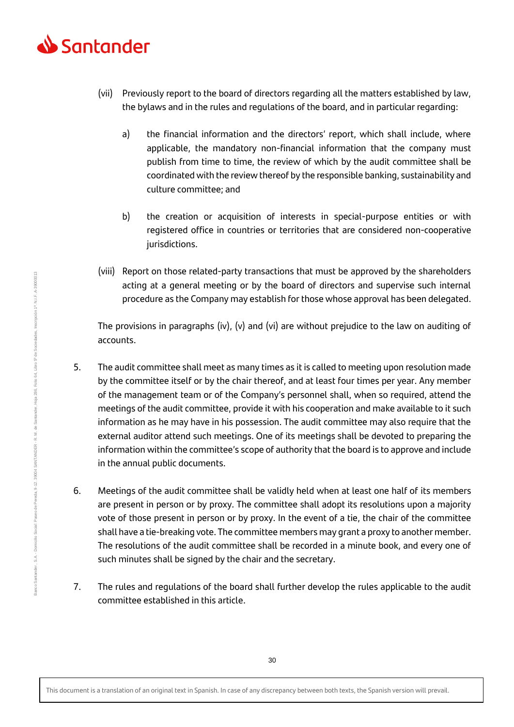

- (vii) Previously report to the board of directors regarding all the matters established by law, the bylaws and in the rules and regulations of the board, and in particular regarding:
	- a) the financial information and the directors' report, which shall include, where applicable, the mandatory non-financial information that the company must publish from time to time, the review of which by the audit committee shall be coordinated with the review thereof by the responsible banking, sustainability and culture committee; and
	- b) the creation or acquisition of interests in special-purpose entities or with registered office in countries or territories that are considered non-cooperative jurisdictions.
- (viii) Report on those related-party transactions that must be approved by the shareholders acting at a general meeting or by the board of directors and supervise such internal procedure as the Company may establish for those whose approval has been delegated.

The provisions in paragraphs (iv), (v) and (vi) are without prejudice to the law on auditing of accounts.

- 5. The audit committee shall meet as many times as it is called to meeting upon resolution made by the committee itself or by the chair thereof, and at least four times per year. Any member of the management team or of the Company's personnel shall, when so required, attend the meetings of the audit committee, provide it with his cooperation and make available to it such information as he may have in his possession. The audit committee may also require that the external auditor attend such meetings. One of its meetings shall be devoted to preparing the information within the committee's scope of authority that the board is to approve and include in the annual public documents.
- 6. Meetings of the audit committee shall be validly held when at least one half of its members are present in person or by proxy. The committee shall adopt its resolutions upon a majority vote of those present in person or by proxy. In the event of a tie, the chair of the committee shall have a tie-breaking vote. The committee members may grant a proxy to another member. The resolutions of the audit committee shall be recorded in a minute book, and every one of such minutes shall be signed by the chair and the secretary.
- 7. The rules and regulations of the board shall further develop the rules applicable to the audit committee established in this article.

This document is a translation of an original text in Spanish. In case of any discrepancy between both texts, the Spanish version will prevail.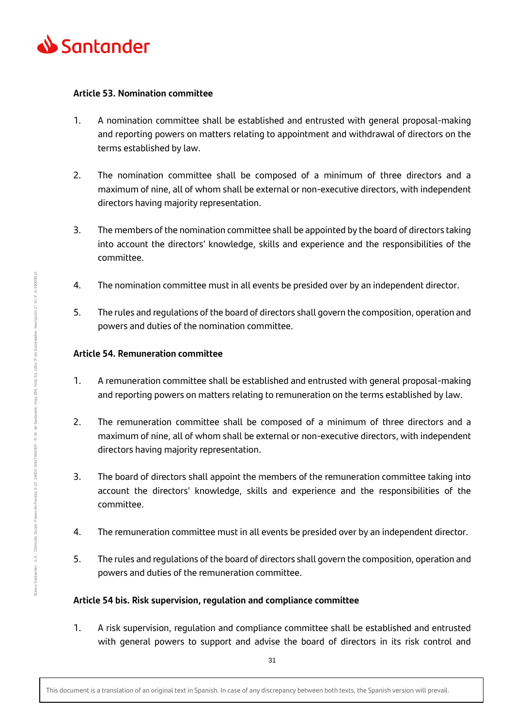

#### **Article 53. Nomination committee**

- 1. A nomination committee shall be established and entrusted with general proposal-making and reporting powers on matters relating to appointment and withdrawal of directors on the terms established by law.
- 2. The nomination committee shall be composed of a minimum of three directors and a maximum of nine, all of whom shall be external or non-executive directors, with independent directors having majority representation.
- 3. The members of the nomination committee shall be appointed by the board of directors taking into account the directors' knowledge, skills and experience and the responsibilities of the committee.
- 4. The nomination committee must in all events be presided over by an independent director.
- 5. The rules and regulations of the board of directors shall govern the composition, operation and powers and duties of the nomination committee.

## **Article 54. Remuneration committee**

- 1. A remuneration committee shall be established and entrusted with general proposal-making and reporting powers on matters relating to remuneration on the terms established by law.
- 2. The remuneration committee shall be composed of a minimum of three directors and a maximum of nine, all of whom shall be external or non-executive directors, with independent directors having majority representation.
- 3. The board of directors shall appoint the members of the remuneration committee taking into account the directors' knowledge, skills and experience and the responsibilities of the committee.
- 4. The remuneration committee must in all events be presided over by an independent director.
- 5. The rules and regulations of the board of directors shall govern the composition, operation and powers and duties of the remuneration committee.

## **Article 54 bis. Risk supervision, regulation and compliance committee**

1. A risk supervision, regulation and compliance committee shall be established and entrusted with general powers to support and advise the board of directors in its risk control and

This document is a translation of an original text in Spanish. In case of any discrepancy between both texts, the Spanish version will prevail.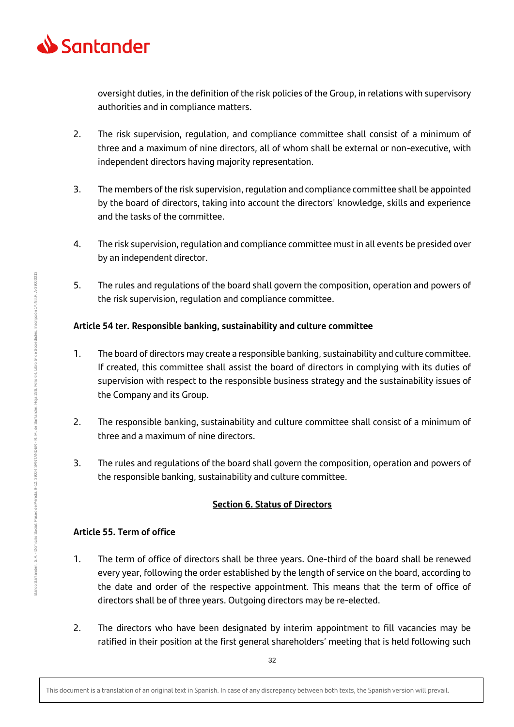

oversight duties, in the definition of the risk policies of the Group, in relations with supervisory authorities and in compliance matters.

- 2. The risk supervision, regulation, and compliance committee shall consist of a minimum of three and a maximum of nine directors, all of whom shall be external or non-executive, with independent directors having majority representation.
- 3. The members of the risk supervision, regulation and compliance committee shall be appointed by the board of directors, taking into account the directors' knowledge, skills and experience and the tasks of the committee.
- 4. The risk supervision, regulation and compliance committee must in all events be presided over by an independent director.
- 5. The rules and regulations of the board shall govern the composition, operation and powers of the risk supervision, regulation and compliance committee.

## **Article 54 ter. Responsible banking, sustainability and culture committee**

- 1. The board of directors may create a responsible banking, sustainability and culture committee. If created, this committee shall assist the board of directors in complying with its duties of supervision with respect to the responsible business strategy and the sustainability issues of the Company and its Group.
- 2. The responsible banking, sustainability and culture committee shall consist of a minimum of three and a maximum of nine directors.
- 3. The rules and regulations of the board shall govern the composition, operation and powers of the responsible banking, sustainability and culture committee.

# **Section 6. Status of Directors**

# **Article 55. Term of office**

- 1. The term of office of directors shall be three years. One-third of the board shall be renewed every year, following the order established by the length of service on the board, according to the date and order of the respective appointment. This means that the term of office of directors shall be of three years. Outgoing directors may be re-elected.
- 2. The directors who have been designated by interim appointment to fill vacancies may be ratified in their position at the first general shareholders' meeting that is held following such

This document is a translation of an original text in Spanish. In case of any discrepancy between both texts, the Spanish version will prevail.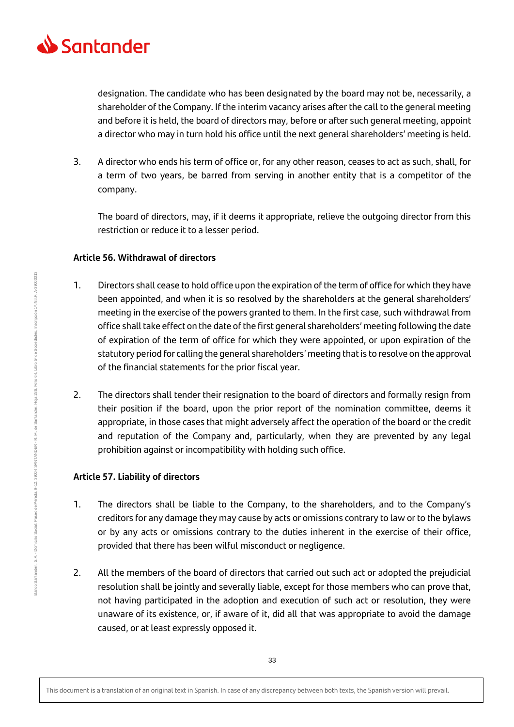

designation. The candidate who has been designated by the board may not be, necessarily, a shareholder of the Company. If the interim vacancy arises after the call to the general meeting and before it is held, the board of directors may, before or after such general meeting, appoint a director who may in turn hold his office until the next general shareholders' meeting is held.

3. A director who ends his term of office or, for any other reason, ceases to act as such, shall, for a term of two years, be barred from serving in another entity that is a competitor of the company.

The board of directors, may, if it deems it appropriate, relieve the outgoing director from this restriction or reduce it to a lesser period.

## **Article 56. Withdrawal of directors**

- 1. Directors shall cease to hold office upon the expiration of the term of office for which they have been appointed, and when it is so resolved by the shareholders at the general shareholders' meeting in the exercise of the powers granted to them. In the first case, such withdrawal from office shall take effect on the date of the first general shareholders' meeting following the date of expiration of the term of office for which they were appointed, or upon expiration of the statutory period for calling the general shareholders' meeting that is to resolve on the approval of the financial statements for the prior fiscal year.
- 2. The directors shall tender their resignation to the board of directors and formally resign from their position if the board, upon the prior report of the nomination committee, deems it appropriate, in those cases that might adversely affect the operation of the board or the credit and reputation of the Company and, particularly, when they are prevented by any legal prohibition against or incompatibility with holding such office.

## **Article 57. Liability of directors**

- 1. The directors shall be liable to the Company, to the shareholders, and to the Company's creditors for any damage they may cause by acts or omissions contrary to law or to the bylaws or by any acts or omissions contrary to the duties inherent in the exercise of their office, provided that there has been wilful misconduct or negligence.
- 2. All the members of the board of directors that carried out such act or adopted the prejudicial resolution shall be jointly and severally liable, except for those members who can prove that, not having participated in the adoption and execution of such act or resolution, they were unaware of its existence, or, if aware of it, did all that was appropriate to avoid the damage caused, or at least expressly opposed it.

This document is a translation of an original text in Spanish. In case of any discrepancy between both texts, the Spanish version will prevail.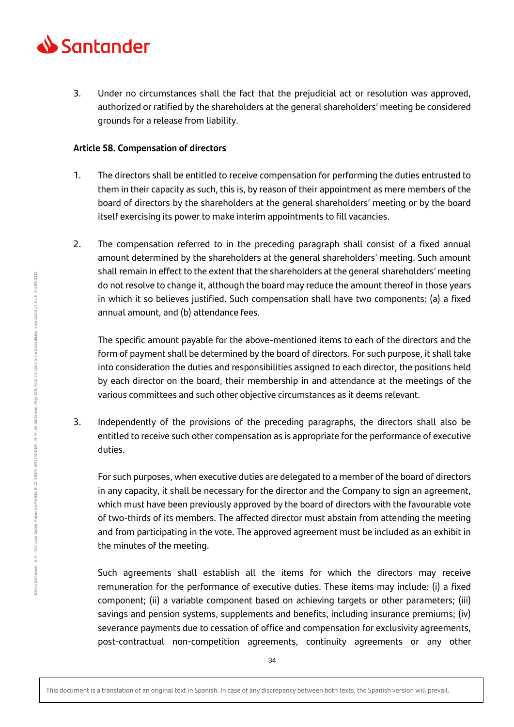

3. Under no circumstances shall the fact that the prejudicial act or resolution was approved, authorized or ratified by the shareholders at the general shareholders' meeting be considered grounds for a release from liability.

#### **Article 58. Compensation of directors**

- 1. The directors shall be entitled to receive compensation for performing the duties entrusted to them in their capacity as such, this is, by reason of their appointment as mere members of the board of directors by the shareholders at the general shareholders' meeting or by the board itself exercising its power to make interim appointments to fill vacancies.
- 2. The compensation referred to in the preceding paragraph shall consist of a fixed annual amount determined by the shareholders at the general shareholders' meeting. Such amount shall remain in effect to the extent that the shareholders at the general shareholders' meeting do not resolve to change it, although the board may reduce the amount thereof in those years in which it so believes justified. Such compensation shall have two components: (a) a fixed annual amount, and (b) attendance fees.

The specific amount payable for the above-mentioned items to each of the directors and the form of payment shall be determined by the board of directors. For such purpose, it shall take into consideration the duties and responsibilities assigned to each director, the positions held by each director on the board, their membership in and attendance at the meetings of the various committees and such other objective circumstances as it deems relevant.

3. Independently of the provisions of the preceding paragraphs, the directors shall also be entitled to receive such other compensation as is appropriate for the performance of executive duties.

For such purposes, when executive duties are delegated to a member of the board of directors in any capacity, it shall be necessary for the director and the Company to sign an agreement, which must have been previously approved by the board of directors with the favourable vote of two-thirds of its members. The affected director must abstain from attending the meeting and from participating in the vote. The approved agreement must be included as an exhibit in the minutes of the meeting.

Such agreements shall establish all the items for which the directors may receive remuneration for the performance of executive duties. These items may include: (i) a fixed component; (ii) a variable component based on achieving targets or other parameters; (iii) savings and pension systems, supplements and benefits, including insurance premiums; (iv) severance payments due to cessation of office and compensation for exclusivity agreements, post-contractual non-competition agreements, continuity agreements or any other

This document is a translation of an original text in Spanish. In case of any discrepancy between both texts, the Spanish version will prevail.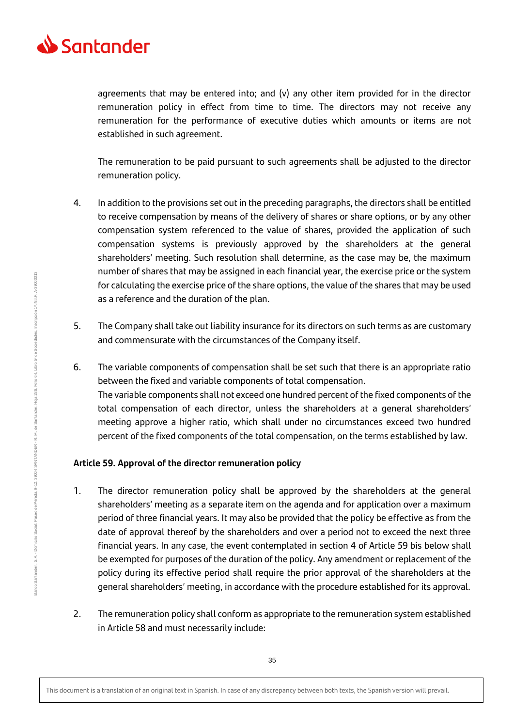

agreements that may be entered into; and  $(v)$  any other item provided for in the director remuneration policy in effect from time to time. The directors may not receive any remuneration for the performance of executive duties which amounts or items are not established in such agreement.

The remuneration to be paid pursuant to such agreements shall be adjusted to the director remuneration policy.

- 4. In addition to the provisions set out in the preceding paragraphs, the directors shall be entitled to receive compensation by means of the delivery of shares or share options, or by any other compensation system referenced to the value of shares, provided the application of such compensation systems is previously approved by the shareholders at the general shareholders' meeting. Such resolution shall determine, as the case may be, the maximum number of shares that may be assigned in each financial year, the exercise price or the system for calculating the exercise price of the share options, the value of the shares that may be used as a reference and the duration of the plan.
- 5. The Company shall take out liability insurance for its directors on such terms as are customary and commensurate with the circumstances of the Company itself.
- 6. The variable components of compensation shall be set such that there is an appropriate ratio between the fixed and variable components of total compensation. The variable components shall not exceed one hundred percent of the fixed components of the total compensation of each director, unless the shareholders at a general shareholders' meeting approve a higher ratio, which shall under no circumstances exceed two hundred percent of the fixed components of the total compensation, on the terms established by law.

## **Article 59. Approval of the director remuneration policy**

- 1. The director remuneration policy shall be approved by the shareholders at the general shareholders' meeting as a separate item on the agenda and for application over a maximum period of three financial years. It may also be provided that the policy be effective as from the date of approval thereof by the shareholders and over a period not to exceed the next three financial years. In any case, the event contemplated in section 4 of Article 59 bis below shall be exempted for purposes of the duration of the policy. Any amendment or replacement of the policy during its effective period shall require the prior approval of the shareholders at the general shareholders' meeting, in accordance with the procedure established for its approval.
- 2. The remuneration policy shall conform as appropriate to the remuneration system established in Article 58 and must necessarily include: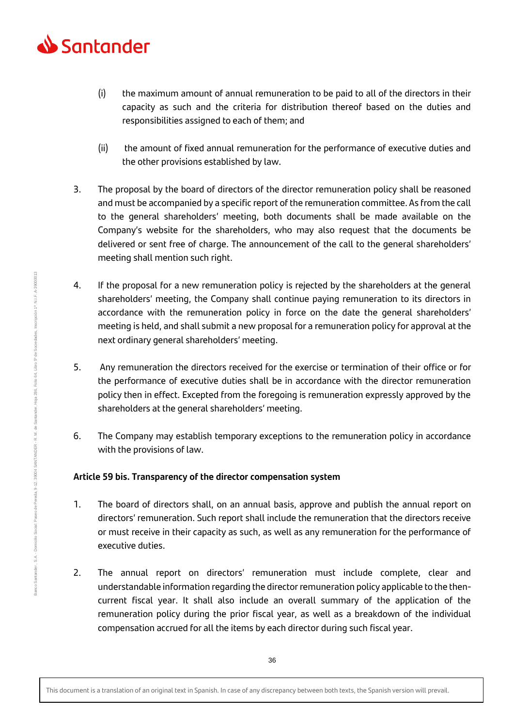

- (i) the maximum amount of annual remuneration to be paid to all of the directors in their capacity as such and the criteria for distribution thereof based on the duties and responsibilities assigned to each of them; and
- (ii) the amount of fixed annual remuneration for the performance of executive duties and the other provisions established by law.
- 3. The proposal by the board of directors of the director remuneration policy shall be reasoned and must be accompanied by a specific report of the remuneration committee. As from the call to the general shareholders' meeting, both documents shall be made available on the Company's website for the shareholders, who may also request that the documents be delivered or sent free of charge. The announcement of the call to the general shareholders' meeting shall mention such right.
- 4. If the proposal for a new remuneration policy is rejected by the shareholders at the general shareholders' meeting, the Company shall continue paying remuneration to its directors in accordance with the remuneration policy in force on the date the general shareholders' meeting is held, and shall submit a new proposal for a remuneration policy for approval at the next ordinary general shareholders' meeting.
- 5. Any remuneration the directors received for the exercise or termination of their office or for the performance of executive duties shall be in accordance with the director remuneration policy then in effect. Excepted from the foregoing is remuneration expressly approved by the shareholders at the general shareholders' meeting.
- 6. The Company may establish temporary exceptions to the remuneration policy in accordance with the provisions of law.

# **Article 59 bis. Transparency of the director compensation system**

- 1. The board of directors shall, on an annual basis, approve and publish the annual report on directors' remuneration. Such report shall include the remuneration that the directors receive or must receive in their capacity as such, as well as any remuneration for the performance of executive duties.
- 2. The annual report on directors' remuneration must include complete, clear and understandable information regarding the director remuneration policy applicable to the thencurrent fiscal year. It shall also include an overall summary of the application of the remuneration policy during the prior fiscal year, as well as a breakdown of the individual compensation accrued for all the items by each director during such fiscal year.

Banco Santander, S.A.

Banco Santander , S.A. - Domicilio Social: Paseo de Pereda, 9-12. 3904 SANTANDER - R. M. de Santander, Hoja 286, Folio 64, Libro 5º de Sociedades, Inscripción 1ª. N.I.F. A-39000013

Domicilio Social: Paseo de Pereda, 9-12, 39004 SANTANDER - R. M. de Santander,

hscripción 1ª. N.I.F. A-39000013

Folio 64, Libro 5º de Sociedades,

Hoja 286,

36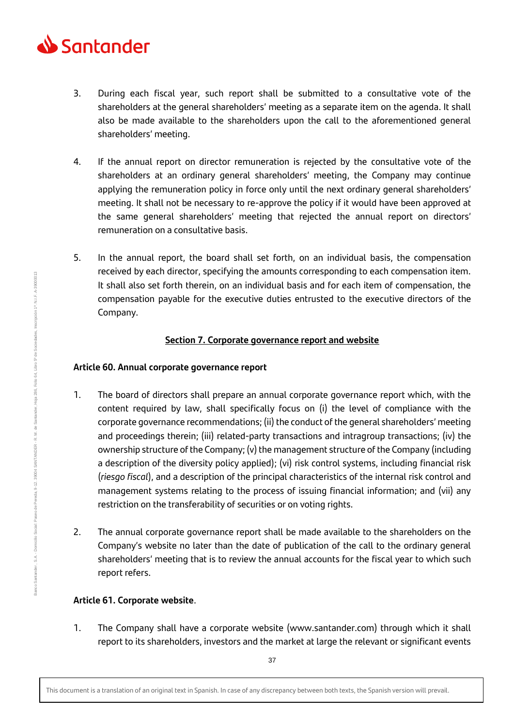

- 3. During each fiscal year, such report shall be submitted to a consultative vote of the shareholders at the general shareholders' meeting as a separate item on the agenda. It shall also be made available to the shareholders upon the call to the aforementioned general shareholders' meeting.
- 4. If the annual report on director remuneration is rejected by the consultative vote of the shareholders at an ordinary general shareholders' meeting, the Company may continue applying the remuneration policy in force only until the next ordinary general shareholders' meeting. It shall not be necessary to re-approve the policy if it would have been approved at the same general shareholders' meeting that rejected the annual report on directors' remuneration on a consultative basis.
- 5. In the annual report, the board shall set forth, on an individual basis, the compensation received by each director, specifying the amounts corresponding to each compensation item. It shall also set forth therein, on an individual basis and for each item of compensation, the compensation payable for the executive duties entrusted to the executive directors of the Company.

# **Section 7. Corporate governance report and website**

## **Article 60. Annual corporate governance report**

- 1. The board of directors shall prepare an annual corporate governance report which, with the content required by law, shall specifically focus on (i) the level of compliance with the corporate governance recommendations; (ii) the conduct of the general shareholders' meeting and proceedings therein; (iii) related-party transactions and intragroup transactions; (iv) the ownership structure of the Company; (v) the management structure of the Company (including a description of the diversity policy applied); (vi) risk control systems, including financial risk (*riesgo fiscal*), and a description of the principal characteristics of the internal risk control and management systems relating to the process of issuing financial information; and (vii) any restriction on the transferability of securities or on voting rights.
- 2. The annual corporate governance report shall be made available to the shareholders on the Company's website no later than the date of publication of the call to the ordinary general shareholders' meeting that is to review the annual accounts for the fiscal year to which such report refers.

# **Article 61. Corporate website**.

1. The Company shall have a corporate website (www.santander.com) through which it shall report to its shareholders, investors and the market at large the relevant or significant events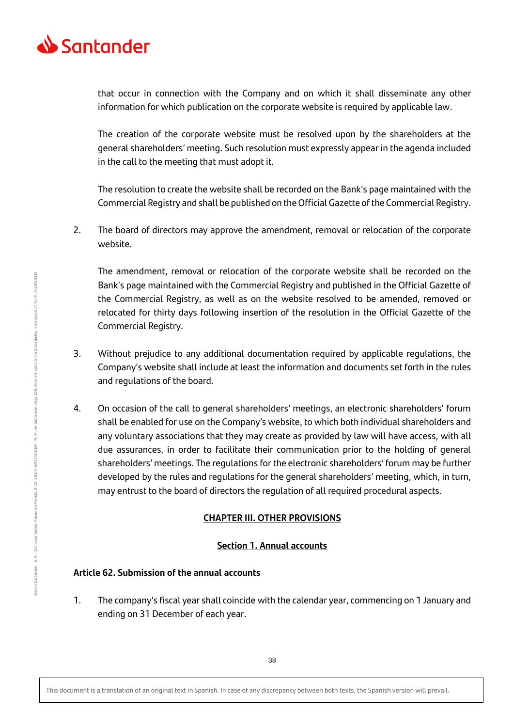

that occur in connection with the Company and on which it shall disseminate any other information for which publication on the corporate website is required by applicable law.

The creation of the corporate website must be resolved upon by the shareholders at the general shareholders' meeting. Such resolution must expressly appear in the agenda included in the call to the meeting that must adopt it.

The resolution to create the website shall be recorded on the Bank's page maintained with the Commercial Registry and shall be published on the Official Gazette of the Commercial Registry.

2. The board of directors may approve the amendment, removal or relocation of the corporate website.

The amendment, removal or relocation of the corporate website shall be recorded on the Bank's page maintained with the Commercial Registry and published in the Official Gazette of the Commercial Registry, as well as on the website resolved to be amended, removed or relocated for thirty days following insertion of the resolution in the Official Gazette of the Commercial Registry.

- 3. Without prejudice to any additional documentation required by applicable regulations, the Company's website shall include at least the information and documents set forth in the rules and regulations of the board.
- 4. On occasion of the call to general shareholders' meetings, an electronic shareholders' forum shall be enabled for use on the Company's website, to which both individual shareholders and any voluntary associations that they may create as provided by law will have access, with all due assurances, in order to facilitate their communication prior to the holding of general shareholders' meetings. The regulations for the electronic shareholders' forum may be further developed by the rules and regulations for the general shareholders' meeting, which, in turn, may entrust to the board of directors the regulation of all required procedural aspects.

# **CHAPTER III. OTHER PROVISIONS**

## **Section 1. Annual accounts**

# **Article 62. Submission of the annual accounts**

1. The company's fiscal year shall coincide with the calendar year, commencing on 1 January and ending on 31 December of each year.

This document is a translation of an original text in Spanish. In case of any discrepancy between both texts, the Spanish version will prevail.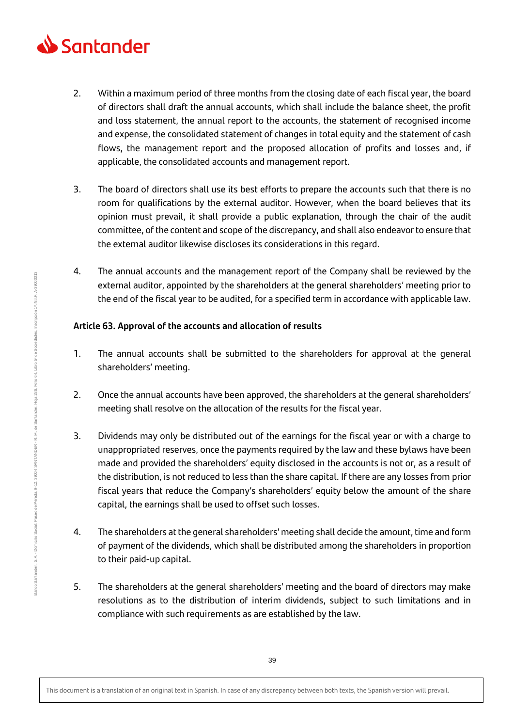

- 2. Within a maximum period of three months from the closing date of each fiscal year, the board of directors shall draft the annual accounts, which shall include the balance sheet, the profit and loss statement, the annual report to the accounts, the statement of recognised income and expense, the consolidated statement of changes in total equity and the statement of cash flows, the management report and the proposed allocation of profits and losses and, if applicable, the consolidated accounts and management report.
- 3. The board of directors shall use its best efforts to prepare the accounts such that there is no room for qualifications by the external auditor. However, when the board believes that its opinion must prevail, it shall provide a public explanation, through the chair of the audit committee, of the content and scope of the discrepancy, and shall also endeavor to ensure that the external auditor likewise discloses its considerations in this regard.
- 4. The annual accounts and the management report of the Company shall be reviewed by the external auditor, appointed by the shareholders at the general shareholders' meeting prior to the end of the fiscal year to be audited, for a specified term in accordance with applicable law.

## **Article 63. Approval of the accounts and allocation of results**

- 1. The annual accounts shall be submitted to the shareholders for approval at the general shareholders' meeting.
- 2. Once the annual accounts have been approved, the shareholders at the general shareholders' meeting shall resolve on the allocation of the results for the fiscal year.
- 3. Dividends may only be distributed out of the earnings for the fiscal year or with a charge to unappropriated reserves, once the payments required by the law and these bylaws have been made and provided the shareholders' equity disclosed in the accounts is not or, as a result of the distribution, is not reduced to less than the share capital. If there are any losses from prior fiscal years that reduce the Company's shareholders' equity below the amount of the share capital, the earnings shall be used to offset such losses.
- 4. The shareholders at the general shareholders' meeting shall decide the amount, time and form of payment of the dividends, which shall be distributed among the shareholders in proportion to their paid-up capital.
- 5. The shareholders at the general shareholders' meeting and the board of directors may make resolutions as to the distribution of interim dividends, subject to such limitations and in compliance with such requirements as are established by the law.

This document is a translation of an original text in Spanish. In case of any discrepancy between both texts, the Spanish version will prevail.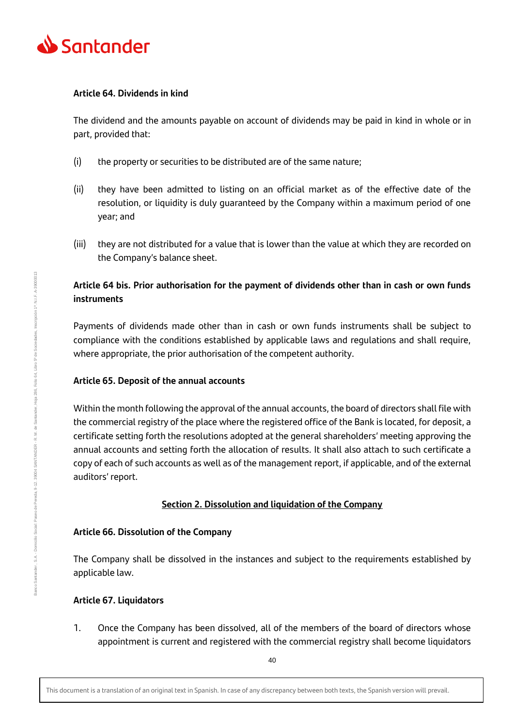

#### **Article 64. Dividends in kind**

The dividend and the amounts payable on account of dividends may be paid in kind in whole or in part, provided that:

- (i) the property or securities to be distributed are of the same nature;
- (ii) they have been admitted to listing on an official market as of the effective date of the resolution, or liquidity is duly guaranteed by the Company within a maximum period of one year; and
- (iii) they are not distributed for a value that is lower than the value at which they are recorded on the Company's balance sheet.

# **Article 64 bis. Prior authorisation for the payment of dividends other than in cash or own funds instruments**

Payments of dividends made other than in cash or own funds instruments shall be subject to compliance with the conditions established by applicable laws and regulations and shall require, where appropriate, the prior authorisation of the competent authority.

## **Article 65. Deposit of the annual accounts**

Within the month following the approval of the annual accounts, the board of directors shall file with the commercial registry of the place where the registered office of the Bank is located, for deposit, a certificate setting forth the resolutions adopted at the general shareholders' meeting approving the annual accounts and setting forth the allocation of results. It shall also attach to such certificate a copy of each of such accounts as well as of the management report, if applicable, and of the external auditors' report.

# **Section 2. Dissolution and liquidation of the Company**

## **Article 66. Dissolution of the Company**

The Company shall be dissolved in the instances and subject to the requirements established by applicable law.

# **Article 67. Liquidators**

1. Once the Company has been dissolved, all of the members of the board of directors whose appointment is current and registered with the commercial registry shall become liquidators

This document is a translation of an original text in Spanish. In case of any discrepancy between both texts, the Spanish version will prevail.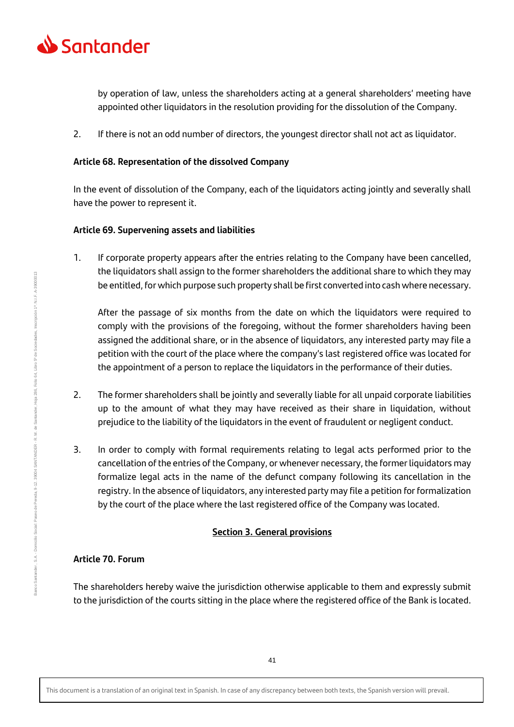

by operation of law, unless the shareholders acting at a general shareholders' meeting have appointed other liquidators in the resolution providing for the dissolution of the Company.

2. If there is not an odd number of directors, the youngest director shall not act as liquidator.

## **Article 68. Representation of the dissolved Company**

In the event of dissolution of the Company, each of the liquidators acting jointly and severally shall have the power to represent it.

#### **Article 69. Supervening assets and liabilities**

1. If corporate property appears after the entries relating to the Company have been cancelled, the liquidators shall assign to the former shareholders the additional share to which they may be entitled, for which purpose such property shall be first converted into cash where necessary.

After the passage of six months from the date on which the liquidators were required to comply with the provisions of the foregoing, without the former shareholders having been assigned the additional share, or in the absence of liquidators, any interested party may file a petition with the court of the place where the company's last registered office was located for the appointment of a person to replace the liquidators in the performance of their duties.

- 2. The former shareholders shall be jointly and severally liable for all unpaid corporate liabilities up to the amount of what they may have received as their share in liquidation, without prejudice to the liability of the liquidators in the event of fraudulent or negligent conduct.
- 3. In order to comply with formal requirements relating to legal acts performed prior to the cancellation of the entries of the Company, or whenever necessary, the former liquidators may formalize legal acts in the name of the defunct company following its cancellation in the registry. In the absence of liquidators, any interested party may file a petition for formalization by the court of the place where the last registered office of the Company was located.

## **Section 3. General provisions**

#### **Article 70. Forum**

The shareholders hereby waive the jurisdiction otherwise applicable to them and expressly submit to the jurisdiction of the courts sitting in the place where the registered office of the Bank is located.

This document is a translation of an original text in Spanish. In case of any discrepancy between both texts, the Spanish version will prevail.